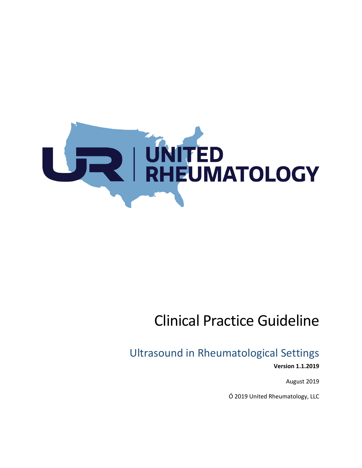

# Clinical Practice Guideline

## Ultrasound in Rheumatological Settings

**Version 1.1.2019** 

August 2019

Ó 2019 United Rheumatology, LLC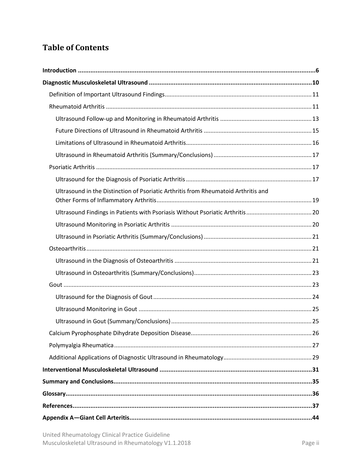## **Table of Contents**

| Ultrasound in the Distinction of Psoriatic Arthritis from Rheumatoid Arthritis and |  |
|------------------------------------------------------------------------------------|--|
|                                                                                    |  |
|                                                                                    |  |
|                                                                                    |  |
|                                                                                    |  |
|                                                                                    |  |
|                                                                                    |  |
|                                                                                    |  |
|                                                                                    |  |
|                                                                                    |  |
|                                                                                    |  |
|                                                                                    |  |
|                                                                                    |  |
|                                                                                    |  |
|                                                                                    |  |
|                                                                                    |  |
|                                                                                    |  |
|                                                                                    |  |
|                                                                                    |  |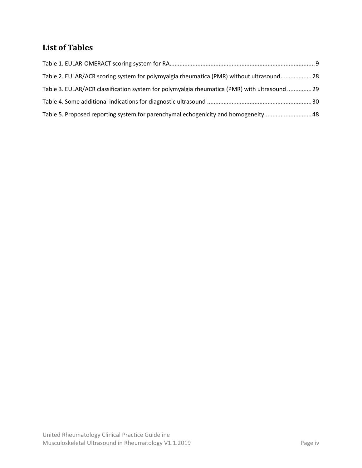## **List of Tables**

| Table 2. EULAR/ACR scoring system for polymyalgia rheumatica (PMR) without ultrasound28       |  |
|-----------------------------------------------------------------------------------------------|--|
| Table 3. EULAR/ACR classification system for polymyalgia rheumatica (PMR) with ultrasound  29 |  |
|                                                                                               |  |
| Table 5. Proposed reporting system for parenchymal echogenicity and homogeneity 48            |  |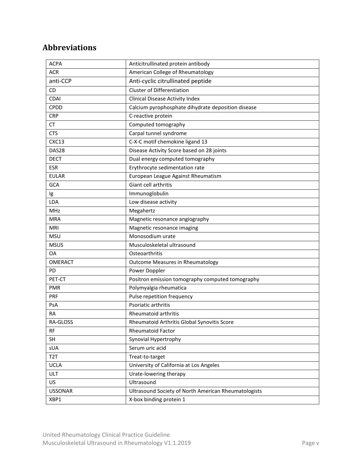## **Abbreviations**

| <b>ACPA</b>      | Anticitrullinated protein antibody                   |
|------------------|------------------------------------------------------|
| <b>ACR</b>       | American College of Rheumatology                     |
| anti-CCP         | Anti-cyclic citrullinated peptide                    |
| <b>CD</b>        | <b>Cluster of Differentiation</b>                    |
| CDAI             | <b>Clinical Disease Activity Index</b>               |
| <b>CPDD</b>      | Calcium pyrophosphate dihydrate deposition disease   |
| <b>CRP</b>       | C-reactive protein                                   |
| CT               | Computed tomography                                  |
| <b>CTS</b>       | Carpal tunnel syndrome                               |
| CXC13            | C-X-C motif chemokine ligand 13                      |
| DAS28            | Disease Activity Score based on 28 joints            |
| <b>DECT</b>      | Dual energy computed tomography                      |
| <b>ESR</b>       | Erythrocyte sedimentation rate                       |
| <b>EULAR</b>     | European League Against Rheumatism                   |
| GCA              | Giant cell arthritis                                 |
| Ig               | Immunoglobulin                                       |
| <b>LDA</b>       | Low disease activity                                 |
| <b>MHz</b>       | Megahertz                                            |
| <b>MRA</b>       | Magnetic resonance angiography                       |
| MRI              | Magnetic resonance imaging                           |
| <b>MSU</b>       | Monosodium urate                                     |
| <b>MSUS</b>      | Musculoskeletal ultrasound                           |
| <b>OA</b>        | Osteoarthritis                                       |
| <b>OMERACT</b>   | <b>Outcome Measures in Rheumatology</b>              |
| PD               | Power Doppler                                        |
| PET-CT           | Positron emission tomography computed tomography     |
| <b>PMR</b>       | Polymyalgia rheumatica                               |
| <b>PRF</b>       | Pulse repetition frequency                           |
| PsA              | Psoriatic arthritis                                  |
| RA               | Rheumatoid arthritis                                 |
| RA-GLOSS         | Rheumatoid Arthritis Global Synovitis Score          |
| RF               | <b>Rheumatoid Factor</b>                             |
| <b>SH</b>        | Synovial Hypertrophy                                 |
| sUA              | Serum uric acid                                      |
| T <sub>2</sub> T | Treat-to-target                                      |
| <b>UCLA</b>      | University of California at Los Angeles              |
| <b>ULT</b>       | Urate-lowering therapy                               |
| US               | Ultrasound                                           |
| <b>USSONAR</b>   | Ultrasound Society of North American Rheumatologists |
| XBP1             | X-box binding protein 1                              |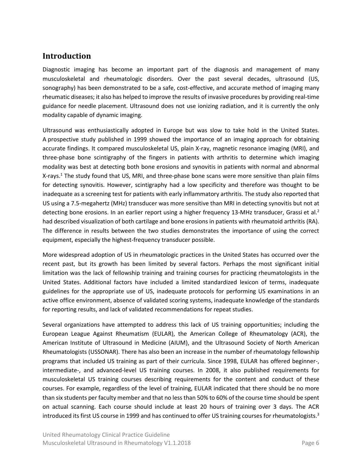## <span id="page-5-0"></span>**Introduction**

Diagnostic imaging has become an important part of the diagnosis and management of many musculoskeletal and rheumatologic disorders. Over the past several decades, ultrasound (US, sonography) has been demonstrated to be a safe, cost-effective, and accurate method of imaging many rheumatic diseases; it also has helped to improve the results of invasive procedures by providing real-time guidance for needle placement. Ultrasound does not use ionizing radiation, and it is currently the only modality capable of dynamic imaging.

Ultrasound was enthusiastically adopted in Europe but was slow to take hold in the United States. A prospective study published in 1999 showed the importance of an imaging approach for obtaining accurate findings. It compared musculoskeletal US, plain X-ray, magnetic resonance imaging (MRI), and three-phase bone scintigraphy of the fingers in patients with arthritis to determine which imaging modality was best at detecting both bone erosions and synovitis in patients with normal and abnormal X-rays.<sup>1</sup> The study found that US, MRI, and three-phase bone scans were more sensitive than plain films for detecting synovitis. However, scintigraphy had a low specificity and therefore was thought to be inadequate as a screening test for patients with early inflammatory arthritis. The study also reported that US using a 7.5-megahertz (MHz) transducer was more sensitive than MRI in detecting synovitis but not at detecting bone erosions. In an earlier report using a higher frequency 13-MHz transducer, Grassi et al.<sup>2</sup> had described visualization of both cartilage and bone erosions in patients with rheumatoid arthritis (RA). The difference in results between the two studies demonstrates the importance of using the correct equipment, especially the highest-frequency transducer possible.

More widespread adoption of US in rheumatologic practices in the United States has occurred over the recent past, but its growth has been limited by several factors. Perhaps the most significant initial limitation was the lack of fellowship training and training courses for practicing rheumatologists in the United States. Additional factors have included a limited standardized lexicon of terms, inadequate guidelines for the appropriate use of US, inadequate protocols for performing US examinations in an active office environment, absence of validated scoring systems, inadequate knowledge of the standards for reporting results, and lack of validated recommendations for repeat studies.

Several organizations have attempted to address this lack of US training opportunities; including the European League Against Rheumatism (EULAR), the American College of Rheumatology (ACR), the American Institute of Ultrasound in Medicine (AIUM), and the Ultrasound Society of North American Rheumatologists (USSONAR). There has also been an increase in the number of rheumatology fellowship programs that included US training as part of their curricula. Since 1998, EULAR has offered beginner-, intermediate-, and advanced-level US training courses. In 2008, it also published requirements for musculoskeletal US training courses describing requirements for the content and conduct of these courses. For example, regardless of the level of training, EULAR indicated that there should be no more than six students per faculty member and that no less than 50% to 60% of the course time should be spent on actual scanning. Each course should include at least 20 hours of training over 3 days. The ACR introduced its first US course in 1999 and has continued to offer US training courses for rheumatologists.<sup>3</sup>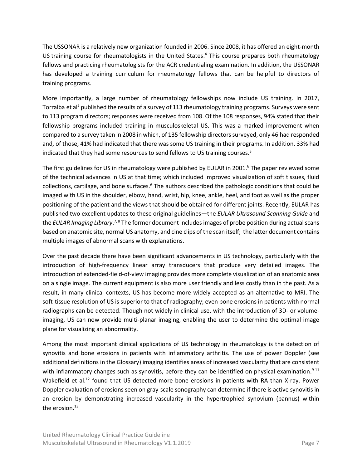The USSONAR is a relatively new organization founded in 2006. Since 2008, it has offered an eight-month US training course for rheumatologists in the United States.<sup>4</sup> This course prepares both rheumatology fellows and practicing rheumatologists for the ACR credentialing examination. In addition, the USSONAR has developed a training curriculum for rheumatology fellows that can be helpful to directors of training programs.

More importantly, a large number of rheumatology fellowships now include US training. In 2017, Torralba et al<sup>5</sup> published the results of a survey of 113 rheumatology training programs. Surveys were sent to 113 program directors; responses were received from 108. Of the 108 responses, 94% stated that their fellowship programs included training in musculoskeletal US. This was a marked improvement when compared to a survey taken in 2008 in which, of 135 fellowship directors surveyed, only 46 had responded and, of those, 41% had indicated that there was some US training in their programs. In addition, 33% had indicated that they had some resources to send fellows to US training courses.<sup>3</sup>

The first guidelines for US in rheumatology were published by EULAR in 2001. <sup>6</sup> The paper reviewed some of the technical advances in US at that time; which included improved visualization of soft tissues, fluid collections, cartilage, and bone surfaces.<sup>6</sup> The authors described the pathologic conditions that could be imaged with US in the shoulder, elbow, hand, wrist, hip, knee, ankle, heel, and foot as well as the proper positioning of the patient and the views that should be obtained for different joints. Recently, EULAR has published two excellent updates to these original guidelines—the *[EULAR Ultrasound Scanning Guide](http://ultrasound.eular.org/#/home)* and the *[EULAR Imaging Library](https://www.eular.org/eular_imaging_library_portal.cfm)*.<sup>7, 8</sup> The former document includes images of probe position during actual scans based on anatomic site, normal US anatomy, and cine clips of the scan itself; the latter document contains multiple images of abnormal scans with explanations.

Over the past decade there have been significant advancements in US technology, particularly with the introduction of high-frequency linear array transducers that produce very detailed images. The introduction of extended-field-of-view imaging provides more complete visualization of an anatomic area on a single image. The current equipment is also more user friendly and less costly than in the past. As a result, in many clinical contexts, US has become more widely accepted as an alternative to MRI. The soft-tissue resolution of US is superior to that of radiography; even bone erosions in patients with normal radiographs can be detected. Though not widely in clinical use, with the introduction of 3D- or volumeimaging, US can now provide multi-planar imaging, enabling the user to determine the optimal image plane for visualizing an abnormality.

Among the most important clinical applications of US technology in rheumatology is the detection of synovitis and bone erosions in patients with inflammatory arthritis. The use of power Doppler (see additional definitions in th[e Glossary\)](#page-35-0) imaging identifies areas of increased vascularity that are consistent with inflammatory changes such as synovitis, before they can be identified on physical examination.<sup>9-11</sup> Wakefield et al.<sup>12</sup> found that US detected more bone erosions in patients with RA than X-ray. Power Doppler evaluation of erosions seen on gray-scale sonography can determine if there is active synovitis in an erosion by demonstrating increased vascularity in the hypertrophied synovium (pannus) within the erosion. $13$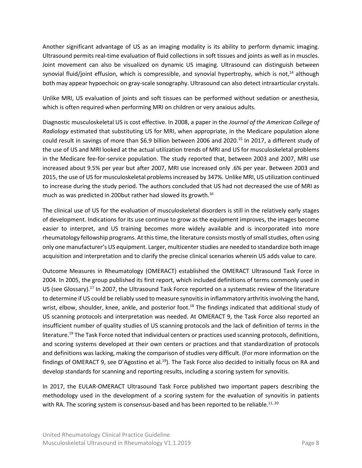Another significant advantage of US as an imaging modality is its ability to perform dynamic imaging. Ultrasound permits real-time evaluation of fluid collections in soft tissues and joints as well as in muscles. Joint movement can also be visualized on dynamic US imaging. Ultrasound can distinguish between synovial fluid/joint effusion, which is compressible, and synovial hypertrophy, which is not, $14$  although both may appear hypoechoic on gray-scale sonography. Ultrasound can also detect intraarticular crystals.

Unlike MRI, US evaluation of joints and soft tissues can be performed without sedation or anesthesia, which is often required when performing MRI on children or very anxious adults.

Diagnostic musculoskeletal US is cost effective. In 2008, a paper in the *Journal of the American College of Radiology* estimated that substituting US for MRI, when appropriate, in the Medicare population alone could result in savings of more than \$6.9 billion between 2006 and 2020.<sup>15</sup> In 2017, a different study of the use of US and MRI looked at the actual utilization trends of MRI and US for musculoskeletal problems in the Medicare fee-for-service population. The study reported that, between 2003 and 2007, MRI use increased about 9.5% per year but after 2007, MRI use increased only .6% per year. Between 2003 and 2015, the use of US for musculoskeletal problems increased by 347%. Unlike MRI, US utilization continued to increase during the study period. The authors concluded that US had not decreased the use of MRI as much as was predicted in 200but rather had slowed its growth. 16

The clinical use of US for the evaluation of musculoskeletal disorders is still in the relatively early stages of development. Indications for its use continue to grow as the equipment improves, the images become easier to interpret, and US training becomes more widely available and is incorporated into more rheumatology fellowship programs. At this time, the literature consists mostly of small studies, often using only one manufacturer's US equipment. Larger, multicenter studies are needed to standardize both image acquisition and interpretation and to clarify the precise clinical scenarios wherein US adds value to care.

Outcome Measures in Rheumatology (OMERACT) established the OMERACT Ultrasound Task Force in 2004. In 2005, the group published its first report, which included definitions of terms commonly used in US (see [Glossary\)](#page-35-0).<sup>17</sup> In 2007, the Ultrasound Task Force reported on a systematic review of the literature to determine if US could be reliably used to measure synovitis in inflammatory arthritis involving the hand, wrist, elbow, shoulder, knee, ankle, and posterior foot.<sup>18</sup> The findings indicated that additional study of US scanning protocols and interpretation was needed. At OMERACT 9, the Task Force also reported an insufficient number of quality studies of US scanning protocols and the lack of definition of terms in the literature.<sup>19</sup> The Task Force noted that individual centers or practices used scanning protocols, definitions, and scoring systems developed at their own centers or practices and that standardization of protocols and definitions was lacking, making the comparison of studies very difficult. (For more information on the findings of OMERACT 9, see [D'Agostino et al.](https://pdfs.semanticscholar.org/6dde/0a9d70c441e2571a9d6e19b8786a6a1c4892.pdf)<sup>19</sup>). The Task Force also decided to initially focus on RA and develop standards for scanning and reporting results, including a scoring system for synovitis.

In 2017, the EULAR-OMERACT Ultrasound Task Force published two important papers describing the methodology used in the development of a scoring system for the evaluation of synovitis in patients with RA. The scoring system is consensus-based and has been reported to be reliable.<sup>11, 20</sup>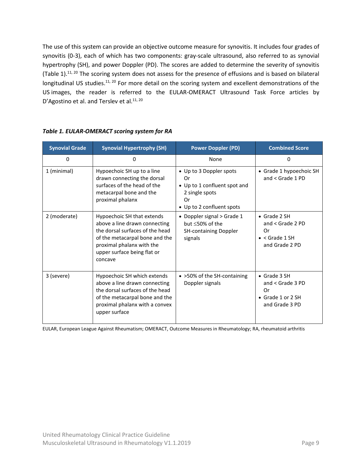The use of this system can provide an objective outcome measure for synovitis. It includes four grades of synovitis (0-3), each of which has two components: gray-scale ultrasound, also referred to as synovial hypertrophy (SH), and power Doppler (PD). The scores are added to determine the severity of synovitis [\(Table](#page-8-0) 1).<sup>11, 20</sup> The scoring system does not assess for the presence of effusions and is based on bilateral longitudinal US studies.<sup>11, 20</sup> For more detail on the scoring system and excellent demonstrations of the US images, the reader is referred to the EULAR-OMERACT Ultrasound Task Force articles by [D'Agostino](https://pdfs.semanticscholar.org/6dde/0a9d70c441e2571a9d6e19b8786a6a1c4892.pdf) et al. an[d Terslev](http://rmdopen.bmj.com/content/rmdopen/3/1/e000427.full.pdf) et al.<sup>11, 20</sup>

| <b>Synovial Grade</b> | <b>Synovial Hypertrophy (SH)</b>                                                                                                                                                                        | <b>Power Doppler (PD)</b>                                                                                          | <b>Combined Score</b>                                                                        |
|-----------------------|---------------------------------------------------------------------------------------------------------------------------------------------------------------------------------------------------------|--------------------------------------------------------------------------------------------------------------------|----------------------------------------------------------------------------------------------|
| 0                     | 0                                                                                                                                                                                                       | None                                                                                                               | 0                                                                                            |
| 1 (minimal)           | Hypoechoic SH up to a line<br>drawn connecting the dorsal<br>surfaces of the head of the<br>metacarpal bone and the<br>proximal phalanx                                                                 | • Up to 3 Doppler spots<br>Or<br>• Up to 1 confluent spot and<br>2 single spots<br>Or<br>• Up to 2 confluent spots | • Grade 1 hypoechoic SH<br>and $<$ Grade 1 PD                                                |
| 2 (moderate)          | Hypoechoic SH that extends<br>above a line drawn connecting<br>the dorsal surfaces of the head<br>of the metacarpal bone and the<br>proximal phalanx with the<br>upper surface being flat or<br>concave | • Doppler signal > Grade 1<br>but $\leq$ 50% of the<br><b>SH-containing Doppler</b><br>signals                     | $\bullet$ Grade 2 SH<br>and $<$ Grade 2 PD<br>Or<br>$\bullet$ < Grade 1 SH<br>and Grade 2 PD |
| 3 (severe)            | Hypoechoic SH which extends<br>above a line drawn connecting<br>the dorsal surfaces of the head<br>of the metacarpal bone and the<br>proximal phalanx with a convex<br>upper surface                    | • > 50% of the SH-containing<br>Doppler signals                                                                    | $\bullet$ Grade 3 SH<br>and $<$ Grade 3 PD<br>Or<br>• Grade 1 or 2 SH<br>and Grade 3 PD      |

<span id="page-8-0"></span>

| Table 1. EULAR-OMERACT scoring system for RA |  |  |
|----------------------------------------------|--|--|
|                                              |  |  |

EULAR, European League Against Rheumatism; OMERACT, Outcome Measures in Rheumatology; RA, rheumatoid arthritis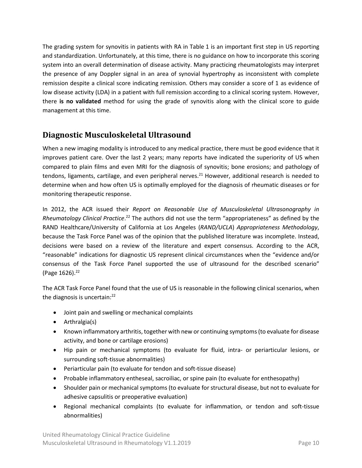The grading system for synovitis in patients with RA in [Table](#page-8-0) 1 is an important first step in US reporting and standardization. Unfortunately, at this time, there is no guidance on how to incorporate this scoring system into an overall determination of disease activity. Many practicing rheumatologists may interpret the presence of any Doppler signal in an area of synovial hypertrophy as inconsistent with complete remission despite a clinical score indicating remission. Others may consider a score of 1 as evidence of low disease activity (LDA) in a patient with full remission according to a clinical scoring system. However, there **is no validated** method for using the grade of synovitis along with the clinical score to guide management at this time.

## <span id="page-9-0"></span>**Diagnostic Musculoskeletal Ultrasound**

When a new imaging modality is introduced to any medical practice, there must be good evidence that it improves patient care. Over the last 2 years; many reports have indicated the superiority of US when compared to plain films and even MRI for the diagnosis of synovitis; bone erosions; and pathology of tendons, ligaments, cartilage, and even peripheral nerves.<sup>21</sup> However, additional research is needed to determine when and how often US is optimally employed for the diagnosis of rheumatic diseases or for monitoring therapeutic response.

In 2012, the ACR issued their *Report on Reasonable Use of Musculoskeletal Ultrasonography in*  Rheumatology Clinical Practice.<sup>22</sup> The authors did not use the term "appropriateness" as defined by the RAND Healthcare/University of California at Los Angeles (*RAND/UCLA*) *Appropriateness Methodology*, because the Task Force Panel was of the opinion that the published literature was incomplete. Instead, decisions were based on a review of the literature and expert consensus. According to the ACR, "reasonable" indications for diagnostic US represent clinical circumstances when the "evidence and/or consensus of the Task Force Panel supported the use of ultrasound for the described scenario" (Page 1626).<sup>22</sup>

The ACR Task Force Panel found that the use of US is reasonable in the following clinical scenarios, when the diagnosis is uncertain:<sup>22</sup>

- Joint pain and swelling or mechanical complaints
- Arthralgia(s)
- Known inflammatory arthritis, together with new or continuing symptoms (to evaluate for disease activity, and bone or cartilage erosions)
- Hip pain or mechanical symptoms (to evaluate for fluid, intra- or periarticular lesions, or surrounding soft-tissue abnormalities)
- Periarticular pain (to evaluate for tendon and soft-tissue disease)
- Probable inflammatory entheseal, sacroiliac, or spine pain (to evaluate for enthesopathy)
- Shoulder pain or mechanical symptoms (to evaluate for structural disease, but not to evaluate for adhesive capsulitis or preoperative evaluation)
- Regional mechanical complaints (to evaluate for inflammation, or tendon and soft-tissue abnormalities)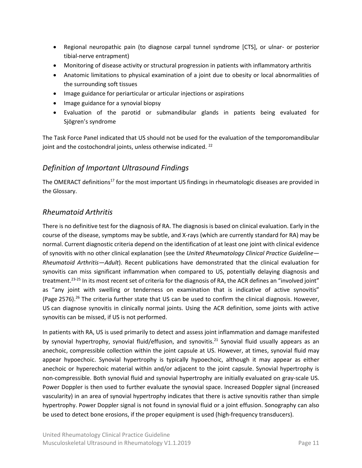- Regional neuropathic pain (to diagnose carpal tunnel syndrome [CTS], or ulnar- or posterior tibial-nerve entrapment)
- Monitoring of disease activity or structural progression in patients with inflammatory arthritis
- Anatomic limitations to physical examination of a joint due to obesity or local abnormalities of the surrounding soft tissues
- Image guidance for periarticular or articular injections or aspirations
- Image guidance for a synovial biopsy
- Evaluation of the parotid or submandibular glands in patients being evaluated for Sjögren's syndrome

The Task Force Panel indicated that US should not be used for the evaluation of the temporomandibular joint and the costochondral joints, unless otherwise indicated.  $^{22}$ 

#### <span id="page-10-0"></span>*Definition of Important Ultrasound Findings*

The OMERACT definitions<sup>17</sup> for the most important US findings in rheumatologic diseases are provided in th[e Glossary.](#page-35-0)

#### <span id="page-10-1"></span>*Rheumatoid Arthritis*

There is no definitive test for the diagnosis of RA. The diagnosis is based on clinical evaluation. Early in the course of the disease, symptoms may be subtle, and X-rays (which are currently standard for RA) may be normal. Current diagnostic criteria depend on the identification of at least one joint with clinical evidence of synovitis with no other clinical explanation (see the *United Rheumatology Clinical Practice Guideline— Rheumatoid Arthritis—Adult*). Recent publications have demonstrated that the clinical evaluation for synovitis can miss significant inflammation when compared to US, potentially delaying diagnosis and treatment.23-25 In its most recent set of criteria for the diagnosis of RA, the ACR defines an "involved joint" as "any joint with swelling or tenderness on examination that is indicative of active synovitis" (Page 2576).<sup>26</sup> The criteria further state that US can be used to confirm the clinical diagnosis. However, US can diagnose synovitis in clinically normal joints. Using the ACR definition, some joints with active synovitis can be missed, if US is not performed.

In patients with RA, US is used primarily to detect and assess joint inflammation and damage manifested by synovial hypertrophy, synovial fluid/effusion, and synovitis.<sup>21</sup> Synovial fluid usually appears as an anechoic, compressible collection within the joint capsule at US. However, at times, synovial fluid may appear hypoechoic. Synovial hypertrophy is typically hypoechoic, although it may appear as either anechoic or hyperechoic material within and/or adjacent to the joint capsule. Synovial hypertrophy is non-compressible. Both synovial fluid and synovial hypertrophy are initially evaluated on gray-scale US. Power Doppler is then used to further evaluate the synovial space. Increased Doppler signal (increased vascularity) in an area of synovial hypertrophy indicates that there is active synovitis rather than simple hypertrophy. Power Doppler signal is not found in synovial fluid or a joint effusion. Sonography can also be used to detect bone erosions, if the proper equipment is used (high-frequency transducers).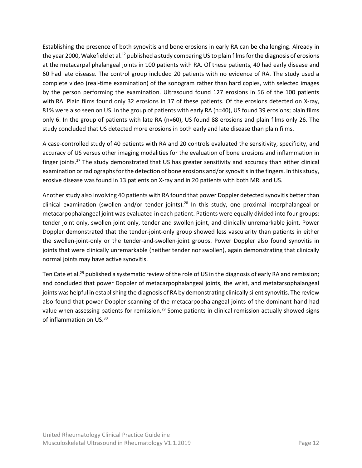Establishing the presence of both synovitis and bone erosions in early RA can be challenging. Already in the year 2000, Wakefield et al.<sup>12</sup> published a study comparing US to plain films for the diagnosis of erosions at the metacarpal phalangeal joints in 100 patients with RA. Of these patients, 40 had early disease and 60 had late disease. The control group included 20 patients with no evidence of RA. The study used a complete video (real-time examination) of the sonogram rather than hard copies, with selected images by the person performing the examination. Ultrasound found 127 erosions in 56 of the 100 patients with RA. Plain films found only 32 erosions in 17 of these patients. Of the erosions detected on X-ray, 81% were also seen on US. In the group of patients with early RA (n=40), US found 39 erosions; plain films only 6. In the group of patients with late RA (n=60), US found 88 erosions and plain films only 26. The study concluded that US detected more erosions in both early and late disease than plain films.

A case-controlled study of 40 patients with RA and 20 controls evaluated the sensitivity, specificity, and accuracy of US versus other imaging modalities for the evaluation of bone erosions and inflammation in finger joints.<sup>27</sup> The study demonstrated that US has greater sensitivity and accuracy than either clinical examination or radiographs for the detection of bone erosions and/orsynovitis in the fingers. In this study, erosive disease was found in 13 patients on X-ray and in 20 patients with both MRI and US.

Another study also involving 40 patients with RA found that power Doppler detected synovitis better than clinical examination (swollen and/or tender joints).<sup>28</sup> In this study, one proximal interphalangeal or metacarpophalangeal joint was evaluated in each patient. Patients were equally divided into four groups: tender joint only, swollen joint only, tender and swollen joint, and clinically unremarkable joint. Power Doppler demonstrated that the tender-joint-only group showed less vascularity than patients in either the swollen-joint-only or the tender-and-swollen-joint groups. Power Doppler also found synovitis in joints that were clinically unremarkable (neither tender nor swollen), again demonstrating that clinically normal joints may have active synovitis.

Ten Cate et al.<sup>29</sup> published a systematic review of the role of US in the diagnosis of early RA and remission; and concluded that power Doppler of metacarpophalangeal joints, the wrist, and metatarsophalangeal joints was helpful in establishing the diagnosis of RA by demonstrating clinically silent synovitis. The review also found that power Doppler scanning of the metacarpophalangeal joints of the dominant hand had value when assessing patients for remission.<sup>29</sup> Some patients in clinical remission actually showed signs of inflammation on US.30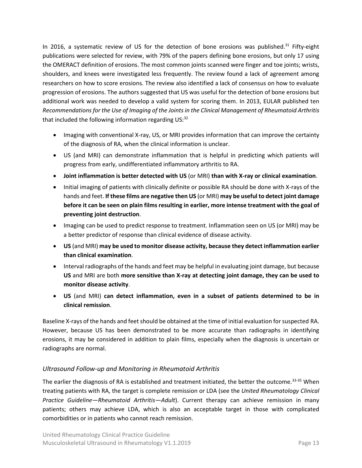In 2016, a systematic review of US for the detection of bone erosions was published.<sup>31</sup> Fifty-eight publications were selected for review, with 79% of the papers defining bone erosions, but only 17 using the OMERACT definition of erosions. The most common joints scanned were finger and toe joints; wrists, shoulders, and knees were investigated less frequently. The review found a lack of agreement among researchers on how to score erosions. The review also identified a lack of consensus on how to evaluate progression of erosions. The authors suggested that US was useful for the detection of bone erosions but additional work was needed to develop a valid system for scoring them. In 2013, EULAR published ten *[Recommendations for the Use of Imaging of the Joints in the Clinical Management of Rheumatoid Arthritis](http://ard.bmj.com/content/annrheumdis/72/6/804.full.pdf)* that included the following information regarding US:<sup>32</sup>

- Imaging with conventional X-ray, US, or MRI provides information that can improve the certainty of the diagnosis of RA, when the clinical information is unclear.
- US (and MRI) can demonstrate inflammation that is helpful in predicting which patients will progress from early, undifferentiated inflammatory arthritis to RA.
- **Joint inflammation is better detected with US** (or MRI) **than with X-ray or clinical examination**.
- Initial imaging of patients with clinically definite or possible RA should be done with X-rays of the hands and feet. **If these films are negative then US** (or MRI) **may be useful to detect joint damage before it can be seen on plain films resulting in earlier, more intense treatment with the goal of preventing joint destruction**.
- Imaging can be used to predict response to treatment. Inflammation seen on US (or MRI) may be a better predictor of response than clinical evidence of disease activity.
- **US** (and MRI) **may be used to monitor disease activity, because they detect inflammation earlier than clinical examination**.
- Interval radiographs of the hands and feet may be helpful in evaluating joint damage, but because **US** and MRI are both **more sensitive than X-ray at detecting joint damage, they can be used to monitor disease activity**.
- **US** (and MRI) **can detect inflammation, even in a subset of patients determined to be in clinical remission**.

Baseline X-rays of the hands and feet should be obtained at the time of initial evaluation for suspected RA. However, because US has been demonstrated to be more accurate than radiographs in identifying erosions, it may be considered in addition to plain films, especially when the diagnosis is uncertain or radiographs are normal.

#### <span id="page-12-0"></span>*Ultrasound Follow-up and Monitoring in Rheumatoid Arthritis*

The earlier the diagnosis of RA is established and treatment initiated, the better the outcome.<sup>33-35</sup> When treating patients with RA, the target is complete remission or LDA (see the *United Rheumatology Clinical Practice Guideline—Rheumatoid Arthritis—Adult*). Current therapy can achieve remission in many patients; others may achieve LDA, which is also an acceptable target in those with complicated comorbidities or in patients who cannot reach remission.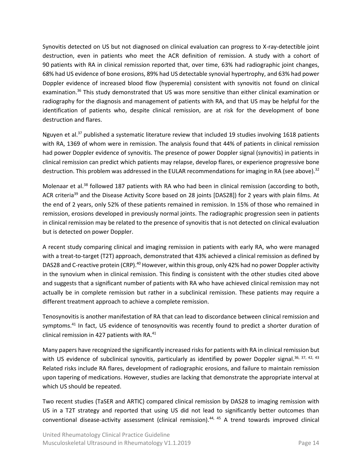Synovitis detected on US but not diagnosed on clinical evaluation can progress to X-ray-detectible joint destruction, even in patients who meet the ACR definition of remission. A study with a cohort of 90 patients with RA in clinical remission reported that, over time, 63% had radiographic joint changes, 68% had US evidence of bone erosions, 89% had US detectable synovial hypertrophy, and 63% had power Doppler evidence of increased blood flow (hyperemia) consistent with synovitis not found on clinical examination.<sup>36</sup> This study demonstrated that US was more sensitive than either clinical examination or radiography for the diagnosis and management of patients with RA, and that US may be helpful for the identification of patients who, despite clinical remission, are at risk for the development of bone destruction and flares.

Nguyen et al.<sup>37</sup> published a systematic literature review that included 19 studies involving 1618 patients with RA, 1369 of whom were in remission. The analysis found that 44% of patients in clinical remission had power Doppler evidence of synovitis. The presence of power Doppler signal (synovitis) in patients in clinical remission can predict which patients may relapse, develop flares, or experience progressive bone destruction. This problem was addressed in the EULAR recommendations for imaging in RA (see above).<sup>32</sup>

Molenaar et al.<sup>38</sup> followed 187 patients with RA who had been in clinical remission (according to both, ACR criteria<sup>39</sup> and the Disease Activity Score based on 28 joints [DAS28]) for 2 years with plain films. At the end of 2 years, only 52% of these patients remained in remission. In 15% of those who remained in remission, erosions developed in previously normal joints. The radiographic progression seen in patients in clinical remission may be related to the presence of synovitis that is not detected on clinical evaluation but is detected on power Doppler.

A recent study comparing clinical and imaging remission in patients with early RA, who were managed with a treat-to-target (T2T) approach, demonstrated that 43% achieved a clinical remission as defined by DAS28 and C-reactive protein (CRP).<sup>40</sup> However, within this group, only 42% had no power Doppler activity in the synovium when in clinical remission. This finding is consistent with the other studies cited above and suggests that a significant number of patients with RA who have achieved clinical remission may not actually be in complete remission but rather in a subclinical remission. These patients may require a different treatment approach to achieve a complete remission.

Tenosynovitis is another manifestation of RA that can lead to discordance between clinical remission and symptoms.<sup>41</sup> In fact, US evidence of tenosynovitis was recently found to predict a shorter duration of clinical remission in 427 patients with RA.<sup>41</sup>

Many papers have recognized the significantly increased risks for patients with RA in clinical remission but with US evidence of subclinical synovitis, particularly as identified by power Doppler signal.<sup>36, 37, 42, 43</sup> Related risks include RA flares, development of radiographic erosions, and failure to maintain remission upon tapering of medications. However, studies are lacking that demonstrate the appropriate interval at which US should be repeated.

Two recent studies (TaSER and ARTIC) compared clinical remission by DAS28 to imaging remission with US in a T2T strategy and reported that using US did not lead to significantly better outcomes than conventional disease-activity assessment (clinical remission).<sup>44, 45</sup> A trend towards improved clinical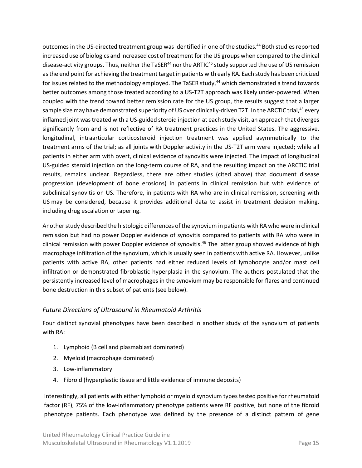outcomes in the US-directed treatment group was identified in one of the studies.<sup>44</sup> Both studies reported increased use of biologics and increased cost of treatment for the US groups when compared to the clinical disease-activity groups. Thus, neither the TaSER<sup>44</sup> nor the ARTIC<sup>45</sup> study supported the use of US remission as the end point for achieving the treatment target in patients with early RA. Each study has been criticized for issues related to the methodology employed. The TaSER study,<sup>44</sup> which demonstrated a trend towards better outcomes among those treated according to a US-T2T approach was likely under-powered. When coupled with the trend toward better remission rate for the US group, the results suggest that a larger sample size may have demonstrated superiority of US over clinically-driven T2T. In the ARCTIC trial,<sup>45</sup> every inflamed joint was treated with a US-guided steroid injection at each study visit, an approach that diverges significantly from and is not reflective of RA treatment practices in the United States. The aggressive, longitudinal, intraarticular corticosteroid injection treatment was applied asymmetrically to the treatment arms of the trial; as all joints with Doppler activity in the US-T2T arm were injected; while all patients in either arm with overt, clinical evidence of synovitis were injected. The impact of longitudinal US-guided steroid injection on the long-term course of RA, and the resulting impact on the ARCTIC trial results, remains unclear. Regardless, there are other studies (cited above) that document disease progression (development of bone erosions) in patients in clinical remission but with evidence of subclinical synovitis on US. Therefore, in patients with RA who are in clinical remission, screening with US may be considered, because it provides additional data to assist in treatment decision making, including drug escalation or tapering.

Another study described the histologic differences of the synovium in patients with RA who were in clinical remission but had no power Doppler evidence of synovitis compared to patients with RA who were in clinical remission with power Doppler evidence of synovitis.<sup>46</sup> The latter group showed evidence of high macrophage infiltration of the synovium, which is usually seen in patients with active RA. However, unlike patients with active RA, other patients had either reduced levels of lymphocyte and/or mast cell infiltration or demonstrated fibroblastic hyperplasia in the synovium. The authors postulated that the persistently increased level of macrophages in the synovium may be responsible for flares and continued bone destruction in this subset of patients (see below).

#### <span id="page-14-0"></span>*Future Directions of Ultrasound in Rheumatoid Arthritis*

Four distinct synovial phenotypes have been described in another study of the synovium of patients with RA:

- 1. Lymphoid (B cell and plasmablast dominated)
- 2. Myeloid (macrophage dominated)
- 3. Low-inflammatory
- 4. Fibroid (hyperplastic tissue and little evidence of immune deposits)

Interestingly, all patients with either lymphoid or myeloid synovium types tested positive for rheumatoid factor (RF), 75% of the low-inflammatory phenotype patients were RF positive, but none of the fibroid phenotype patients. Each phenotype was defined by the presence of a distinct pattern of gene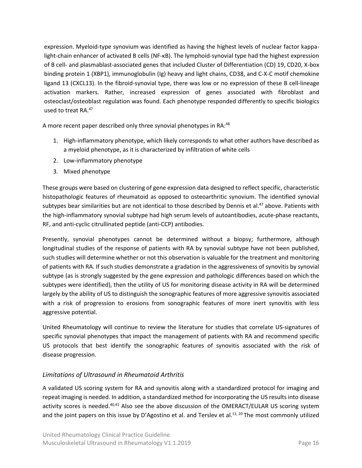expression. Myeloid-type synovium was identified as having the highest levels of nuclear factor kappalight-chain enhancer of activated B cells (NF-κB). The lymphoid-synovial type had the highest expression of B cell- and plasmablast-associated genes that included Cluster of Differentiation (CD) 19, CD20, X-box binding protein 1 (XBP1), immunoglobulin (Ig) heavy and light chains, CD38, and C-X-C motif chemokine ligand 13 (CXCL13). In the fibroid-synovial type, there was low or no expression of these B cell-lineage activation markers. Rather, increased expression of genes associated with fibroblast and osteoclast/osteoblast regulation was found. Each phenotype responded differently to specific biologics used to treat RA. 47

A more recent paper described only three synovial phenotypes in RA:<sup>48</sup>

- 1. High-inflammatory phenotype, which likely corresponds to what other authors have described as a myeloid phenotype, as it is characterized by infiltration of white cells
- 2. Low-inflammatory phenotype
- 3. Mixed phenotype

These groups were based on clustering of gene expression data designed to reflect specific, characteristic histopathologic features of rheumatoid as opposed to osteoarthritic synovium. The identified synovial subtypes bear similarities but are not identical to those described by Dennis et al.<sup>47</sup> above. Patients with the high-inflammatory synovial subtype had high serum levels of autoantibodies, acute-phase reactants, RF, and anti-cyclic citrullinated peptide (anti-CCP) antibodies.

Presently, synovial phenotypes cannot be determined without a biopsy; furthermore, although longitudinal studies of the response of patients with RA by synovial subtype have not been published, such studies will determine whether or not this observation is valuable for the treatment and monitoring of patients with RA. If such studies demonstrate a gradation in the aggressiveness of synovitis by synovial subtype (as is strongly suggested by the gene expression and pathologic differences based on which the subtypes were identified), then the utility of US for monitoring disease activity in RA will be determined largely by the ability of US to distinguish the sonographic features of more aggressive synovitis associated with a risk of progression to erosions from sonographic features of more inert synovitis with less aggressive potential.

United Rheumatology will continue to review the literature for studies that correlate US-signatures of specific synovial phenotypes that impact the management of patients with RA and recommend specific US protocols that best identify the sonographic features of synovitis associated with the risk of disease progression.

#### <span id="page-15-0"></span>*Limitations of Ultrasound in Rheumatoid Arthritis*

A validated US scoring system for RA and synovitis along with a standardized protocol for imaging and repeat imaging is needed. In addition, a standardized method for incorporating the US results into disease activity scores is needed.<sup>40,41</sup> Also see the above discussion of the OMERACT/EULAR US scoring system and the joint papers on this issue by [D'Agostino et al.](https://pdfs.semanticscholar.org/6dde/0a9d70c441e2571a9d6e19b8786a6a1c4892.pdf) and [Terslev et al.](http://rmdopen.bmj.com/content/rmdopen/3/1/e000427.full.pdf)<sup>11, 20</sup> The most commonly utilized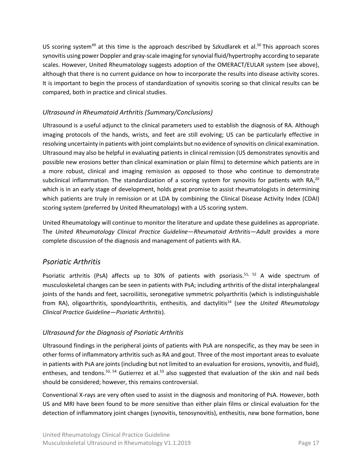US scoring system<sup>49</sup> at this time is the approach described by Szkudlarek et al.<sup>50</sup> This approach scores synovitis using power Doppler and gray-scale imaging for synovial fluid/hypertrophy according to separate scales. However, United Rheumatology suggests adoption of the OMERACT/EULAR system (see above), although that there is no current guidance on how to incorporate the results into disease activity scores. It is important to begin the process of standardization of synovitis scoring so that clinical results can be compared, both in practice and clinical studies.

#### <span id="page-16-0"></span>*Ultrasound in Rheumatoid Arthritis (Summary/Conclusions)*

Ultrasound is a useful adjunct to the clinical parameters used to establish the diagnosis of RA. Although imaging protocols of the hands, wrists, and feet are still evolving; US can be particularly effective in resolving uncertainty in patients with joint complaints but no evidence of synovitis on clinical examination. Ultrasound may also be helpful in evaluating patients in clinical remission (US demonstrates synovitis and possible new erosions better than clinical examination or plain films) to determine which patients are in a more robust, clinical and imaging remission as opposed to those who continue to demonstrate subclinical inflammation. The standardization of a scoring system for synovitis for patients with RA,<sup>20</sup> which is in an early stage of development, holds great promise to assist rheumatologists in determining which patients are truly in remission or at LDA by combining the Clinical Disease Activity Index (CDAI) scoring system (preferred by United Rheumatology) with a US scoring system.

United Rheumatology will continue to monitor the literature and update these guidelines as appropriate. The *United Rheumatology Clinical Practice Guideline—Rheumatoid Arthritis—Adult* provides a more complete discussion of the diagnosis and management of patients with RA.

#### <span id="page-16-1"></span>*Psoriatic Arthritis*

Psoriatic arthritis (PsA) affects up to 30% of patients with psoriasis.<sup>51, 52</sup> A wide spectrum of musculoskeletal changes can be seen in patients with PsA; including arthritis of the distal interphalangeal joints of the hands and feet, sacroiliitis, seronegative symmetric polyarthritis (which is indistinguishable from RA), oligoarthritis, spondyloarthritis, enthesitis, and dactylitis<sup>14</sup> (see the *United Rheumatology Clinical Practice Guideline—Psoriatic Arthritis*).

#### <span id="page-16-2"></span>*Ultrasound for the Diagnosis of Psoriatic Arthritis*

Ultrasound findings in the peripheral joints of patients with PsA are nonspecific, as they may be seen in other forms of inflammatory arthritis such as RA and gout. Three of the most important areas to evaluate in patients with PsA are joints (including but not limited to an evaluation for erosions, synovitis, and fluid), entheses, and tendons.<sup>53, 54</sup> Gutierrez et al.<sup>53</sup> also suggested that evaluation of the skin and nail beds should be considered; however, this remains controversial.

Conventional X-rays are very often used to assist in the diagnosis and monitoring of PsA. However, both US and MRI have been found to be more sensitive than either plain films or clinical evaluation for the detection of inflammatory joint changes (synovitis, tenosynovitis), enthesitis, new bone formation, bone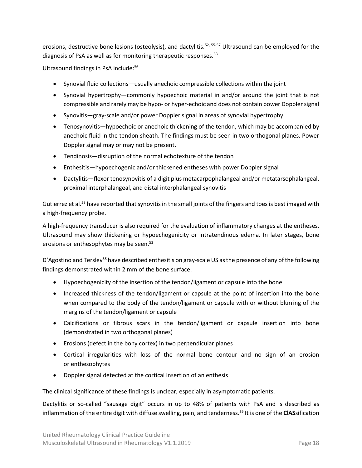erosions, destructive bone lesions (osteolysis), and dactylitis.<sup>52, 55-57</sup> Ultrasound can be employed for the diagnosis of PsA as well as for monitoring therapeutic responses.<sup>53</sup>

Ultrasound findings in PsA include:<sup>56</sup>

- Synovial fluid collections—usually anechoic compressible collections within the joint
- Synovial hypertrophy—commonly hypoechoic material in and/or around the joint that is not compressible and rarely may be hypo- or hyper-echoic and does not contain power Doppler signal
- Synovitis—gray-scale and/or power Doppler signal in areas of synovial hypertrophy
- Tenosynovitis—hypoechoic or anechoic thickening of the tendon, which may be accompanied by anechoic fluid in the tendon sheath. The findings must be seen in two orthogonal planes. Power Doppler signal may or may not be present.
- Tendinosis—disruption of the normal echotexture of the tendon
- Enthesitis—hypoechogenic and/or thickened entheses with power Doppler signal
- Dactylitis—flexor tenosynovitis of a digit plus metacarpophalangeal and/or metatarsophalangeal, proximal interphalangeal, and distal interphalangeal synovitis

Gutierrez et al.<sup>53</sup> have reported that synovitis in the small joints of the fingers and toes is best imaged with a high-frequency probe.

A high-frequency transducer is also required for the evaluation of inflammatory changes at the entheses. Ultrasound may show thickening or hypoechogenicity or intratendinous edema. In later stages, bone erosions or enthesophytes may be seen. 53

D'Agostino and Terslev<sup>58</sup> have described enthesitis on gray-scale US as the presence of any of the following findings demonstrated within 2 mm of the bone surface:

- Hypoechogenicity of the insertion of the tendon/ligament or capsule into the bone
- Increased thickness of the tendon/ligament or capsule at the point of insertion into the bone when compared to the body of the tendon/ligament or capsule with or without blurring of the margins of the tendon/ligament or capsule
- Calcifications or fibrous scars in the tendon/ligament or capsule insertion into bone (demonstrated in two orthogonal planes)
- Erosions (defect in the bony cortex) in two perpendicular planes
- Cortical irregularities with loss of the normal bone contour and no sign of an erosion or enthesophytes
- Doppler signal detected at the cortical insertion of an enthesis

The clinical significance of these findings is unclear, especially in asymptomatic patients.

Dactylitis or so-called "sausage digit" occurs in up to 48% of patients with PsA and is described as inflammation of the entire digit with diffuse swelling, pain, and tenderness.<sup>59</sup> It is one of the **C**l**AS**sification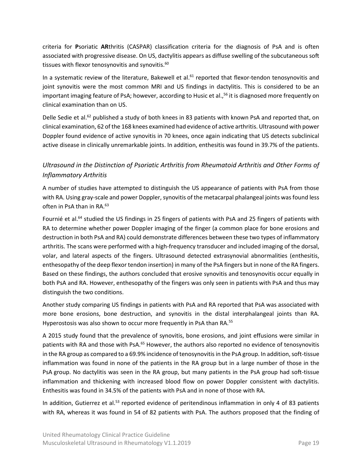criteria for **P**soriatic **AR**thritis (CASPAR) classification criteria for the diagnosis of PsA and is often associated with progressive disease. On US, dactylitis appears as diffuse swelling of the subcutaneous soft tissues with flexor tenosynovitis and synovitis. 60

In a systematic review of the literature, Bakewell et al.<sup>61</sup> reported that flexor-tendon tenosynovitis and joint synovitis were the most common MRI and US findings in dactylitis. This is considered to be an important imaging feature of PsA; however, according to Husic et al.,<sup>56</sup> it is diagnosed more frequently on clinical examination than on US.

Delle Sedie et al.<sup>62</sup> published a study of both knees in 83 patients with known PsA and reported that, on clinical examination, 62 of the 168 knees examined had evidence of active arthritis. Ultrasound with power Doppler found evidence of active synovitis in 70 knees, once again indicating that US detects subclinical active disease in clinically unremarkable joints. In addition, enthesitis was found in 39.7% of the patients.

#### <span id="page-18-0"></span>*Ultrasound in the Distinction of Psoriatic Arthritis from Rheumatoid Arthritis and Other Forms of Inflammatory Arthritis*

A number of studies have attempted to distinguish the US appearance of patients with PsA from those with RA. Using gray-scale and power Doppler, synovitis of the metacarpal phalangeal joints was found less often in PsA than in RA.<sup>63</sup>

Fournié et al.<sup>64</sup> studied the US findings in 25 fingers of patients with PsA and 25 fingers of patients with RA to determine whether power Doppler imaging of the finger (a common place for bone erosions and destruction in both PsA and RA) could demonstrate differences between these two types of inflammatory arthritis. The scans were performed with a high-frequency transducer and included imaging of the dorsal, volar, and lateral aspects of the fingers. Ultrasound detected extrasynovial abnormalities (enthesitis, enthesopathy of the deep flexor tendon insertion) in many of the PsA fingers but in none of the RA fingers. Based on these findings, the authors concluded that erosive synovitis and tenosynovitis occur equally in both PsA and RA. However, enthesopathy of the fingers was only seen in patients with PsA and thus may distinguish the two conditions.

Another study comparing US findings in patients with PsA and RA reported that PsA was associated with more bone erosions, bone destruction, and synovitis in the distal interphalangeal joints than RA. Hyperostosis was also shown to occur more frequently in PsA than RA.<sup>55</sup>

A 2015 study found that the prevalence of synovitis, bone erosions, and joint effusions were similar in patients with RA and those with PsA.<sup>65</sup> However, the authors also reported no evidence of tenosynovitis in the RA group as compared to a 69.9% incidence of tenosynovitis in the PsA group. In addition, soft-tissue inflammation was found in none of the patients in the RA group but in a large number of those in the PsA group. No dactylitis was seen in the RA group, but many patients in the PsA group had soft-tissue inflammation and thickening with increased blood flow on power Doppler consistent with dactylitis. Enthesitis was found in 34.5% of the patients with PsA and in none of those with RA.

In addition, Gutierrez et al.<sup>53</sup> reported evidence of peritendinous inflammation in only 4 of 83 patients with RA, whereas it was found in 54 of 82 patients with PsA. The authors proposed that the finding of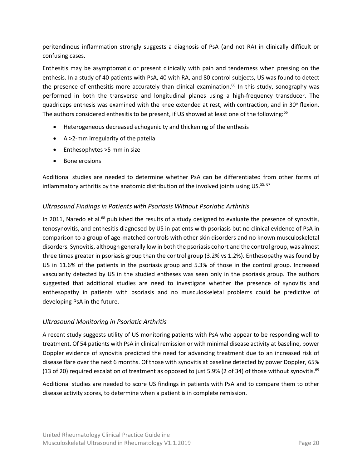peritendinous inflammation strongly suggests a diagnosis of PsA (and not RA) in clinically difficult or confusing cases.

Enthesitis may be asymptomatic or present clinically with pain and tenderness when pressing on the enthesis. In a study of 40 patients with PsA, 40 with RA, and 80 control subjects, US was found to detect the presence of enthesitis more accurately than clinical examination.<sup>66</sup> In this study, sonography was performed in both the transverse and longitudinal planes using a high-frequency transducer. The quadriceps enthesis was examined with the knee extended at rest, with contraction, and in 30° flexion. The authors considered enthesitis to be present, if US showed at least one of the following:<sup>66</sup>

- Heterogeneous decreased echogenicity and thickening of the enthesis
- A >2-mm irregularity of the patella
- Enthesophytes >5 mm in size
- Bone erosions

Additional studies are needed to determine whether PsA can be differentiated from other forms of inflammatory arthritis by the anatomic distribution of the involved joints using US.<sup>55, 67</sup>

#### <span id="page-19-0"></span>*Ultrasound Findings in Patients with Psoriasis Without Psoriatic Arthritis*

In 2011, Naredo et al.<sup>68</sup> published the results of a study designed to evaluate the presence of synovitis, tenosynovitis, and enthesitis diagnosed by US in patients with psoriasis but no clinical evidence of PsA in comparison to a group of age-matched controls with other skin disorders and no known musculoskeletal disorders. Synovitis, although generally low in both the psoriasis cohort and the control group, was almost three times greater in psoriasis group than the control group (3.2% vs 1.2%). Enthesopathy was found by US in 11.6% of the patients in the psoriasis group and 5.3% of those in the control group. Increased vascularity detected by US in the studied entheses was seen only in the psoriasis group. The authors suggested that additional studies are need to investigate whether the presence of synovitis and enthesopathy in patients with psoriasis and no musculoskeletal problems could be predictive of developing PsA in the future.

#### <span id="page-19-1"></span>*Ultrasound Monitoring in Psoriatic Arthritis*

A recent study suggests utility of US monitoring patients with PsA who appear to be responding well to treatment. Of 54 patients with PsA in clinical remission or with minimal disease activity at baseline, power Doppler evidence of synovitis predicted the need for advancing treatment due to an increased risk of disease flare over the next 6 months. Of those with synovitis at baseline detected by power Doppler, 65% (13 of 20) required escalation of treatment as opposed to just 5.9% (2 of 34) of those without synovitis.<sup>69</sup>

Additional studies are needed to score US findings in patients with PsA and to compare them to other disease activity scores, to determine when a patient is in complete remission.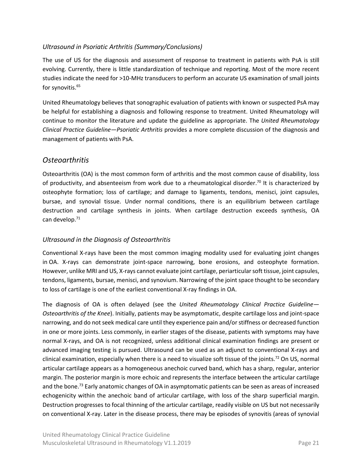#### <span id="page-20-0"></span>*Ultrasound in Psoriatic Arthritis (Summary/Conclusions)*

The use of US for the diagnosis and assessment of response to treatment in patients with PsA is still evolving. Currently, there is little standardization of technique and reporting. Most of the more recent studies indicate the need for >10-MHz transducers to perform an accurate US examination of small joints for synovitis. 65

United Rheumatology believes that sonographic evaluation of patients with known or suspected PsA may be helpful for establishing a diagnosis and following response to treatment. United Rheumatology will continue to monitor the literature and update the guideline as appropriate. The *United Rheumatology Clinical Practice Guideline—Psoriatic Arthritis* provides a more complete discussion of the diagnosis and management of patients with PsA.

#### <span id="page-20-1"></span>*Osteoarthritis*

Osteoarthritis (OA) is the most common form of arthritis and the most common cause of disability, loss of productivity, and absenteeism from work due to a rheumatological disorder.<sup>70</sup> It is characterized by osteophyte formation; loss of cartilage; and damage to ligaments, tendons, menisci, joint capsules, bursae, and synovial tissue. Under normal conditions, there is an equilibrium between cartilage destruction and cartilage synthesis in joints. When cartilage destruction exceeds synthesis, OA can develop.<sup>71</sup>

#### <span id="page-20-2"></span>*Ultrasound in the Diagnosis of Osteoarthritis*

Conventional X-rays have been the most common imaging modality used for evaluating joint changes in OA. X-rays can demonstrate joint-space narrowing, bone erosions, and osteophyte formation. However, unlike MRI and US, X-rays cannot evaluate joint cartilage, periarticularsoft tissue, joint capsules, tendons, ligaments, bursae, menisci, and synovium. Narrowing of the joint space thought to be secondary to loss of cartilage is one of the earliest conventional X-ray findings in OA.

The diagnosis of OA is often delayed (see the *United Rheumatology Clinical Practice Guideline— Osteoarthritis of the Knee*). Initially, patients may be asymptomatic, despite cartilage loss and joint-space narrowing, and do not seek medical care until they experience pain and/or stiffness or decreased function in one or more joints. Less commonly, in earlier stages of the disease, patients with symptoms may have normal X-rays, and OA is not recognized, unless additional clinical examination findings are present or advanced imaging testing is pursued. Ultrasound can be used as an adjunct to conventional X-rays and clinical examination, especially when there is a need to visualize soft tissue of the joints.<sup>72</sup> On US, normal articular cartilage appears as a homogeneous anechoic curved band, which has a sharp, regular, anterior margin. The posterior margin is more echoic and represents the interface between the articular cartilage and the bone.<sup>73</sup> Early anatomic changes of OA in asymptomatic patients can be seen as areas of increased echogenicity within the anechoic band of articular cartilage, with loss of the sharp superficial margin. Destruction progresses to focal thinning of the articular cartilage, readily visible on US but not necessarily on conventional X-ray. Later in the disease process, there may be episodes of synovitis (areas of synovial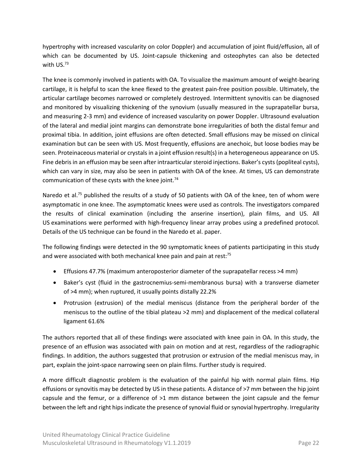hypertrophy with increased vascularity on color Doppler) and accumulation of joint fluid/effusion, all of which can be documented by US. Joint-capsule thickening and osteophytes can also be detected with US.<sup>73</sup>

The knee is commonly involved in patients with OA. To visualize the maximum amount of weight-bearing cartilage, it is helpful to scan the knee flexed to the greatest pain-free position possible. Ultimately, the articular cartilage becomes narrowed or completely destroyed. Intermittent synovitis can be diagnosed and monitored by visualizing thickening of the synovium (usually measured in the suprapatellar bursa, and measuring 2-3 mm) and evidence of increased vascularity on power Doppler. Ultrasound evaluation of the lateral and medial joint margins can demonstrate bone irregularities of both the distal femur and proximal tibia. In addition, joint effusions are often detected. Small effusions may be missed on clinical examination but can be seen with US. Most frequently, effusions are anechoic, but loose bodies may be seen. Proteinaceous material or crystals in a joint effusion result(s) in a heterogeneous appearance on US. Fine debris in an effusion may be seen after intraarticular steroid injections. Baker's cysts (popliteal cysts), which can vary in size, may also be seen in patients with OA of the knee. At times, US can demonstrate communication of these cysts with the knee joint.<sup>74</sup>

Naredo et al.<sup>75</sup> published the results of a study of 50 patients with OA of the knee, ten of whom were asymptomatic in one knee. The asymptomatic knees were used as controls. The investigators compared the results of clinical examination (including the anserine insertion), plain films, and US. All US examinations were performed with high-frequency linear array probes using a predefined protocol. Details of the US technique can be found in the [Naredo et al.](https://www.oarsijournal.com/article/S1063-4584(05)00056-7/pdf) paper.

The following findings were detected in the 90 symptomatic knees of patients participating in this study and were associated with both mechanical knee pain and pain at rest:<sup>75</sup>

- Effusions 47.7% (maximum anteroposterior diameter of the suprapatellar recess >4 mm)
- Baker's cyst (fluid in the gastrocnemius-semi-membranous bursa) with a transverse diameter of >4 mm); when ruptured, it usually points distally 22.2%
- Protrusion (extrusion) of the medial meniscus (distance from the peripheral border of the meniscus to the outline of the tibial plateau >2 mm) and displacement of the medical collateral ligament 61.6%

The authors reported that all of these findings were associated with knee pain in OA. In this study, the presence of an effusion was associated with pain on motion and at rest, regardless of the radiographic findings. In addition, the authors suggested that protrusion or extrusion of the medial meniscus may, in part, explain the joint-space narrowing seen on plain films. Further study is required.

A more difficult diagnostic problem is the evaluation of the painful hip with normal plain films. Hip effusions or synovitis may be detected by US in these patients. A distance of >7 mm between the hip joint capsule and the femur, or a difference of >1 mm distance between the joint capsule and the femur between the left and right hips indicate the presence of synovial fluid or synovial hypertrophy. Irregularity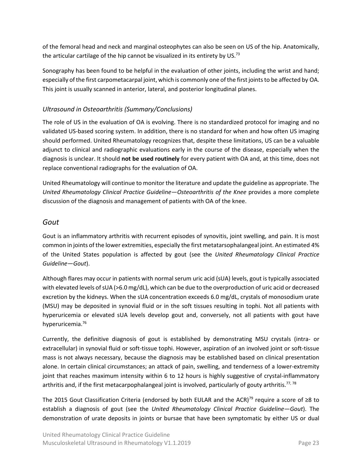of the femoral head and neck and marginal osteophytes can also be seen on US of the hip. Anatomically, the articular cartilage of the hip cannot be visualized in its entirety by US.<sup>73</sup>

Sonography has been found to be helpful in the evaluation of other joints, including the wrist and hand; especially of the first carpometacarpal joint, which is commonly one of the first joints to be affected by OA. This joint is usually scanned in anterior, lateral, and posterior longitudinal planes.

#### <span id="page-22-0"></span>*Ultrasound in Osteoarthritis (Summary/Conclusions)*

The role of US in the evaluation of OA is evolving. There is no standardized protocol for imaging and no validated US-based scoring system. In addition, there is no standard for when and how often US imaging should performed. United Rheumatology recognizes that, despite these limitations, US can be a valuable adjunct to clinical and radiographic evaluations early in the course of the disease, especially when the diagnosis is unclear. It should **not be used routinely** for every patient with OA and, at this time, does not replace conventional radiographs for the evaluation of OA.

United Rheumatology will continue to monitor the literature and update the guideline as appropriate. The *United Rheumatology Clinical Practice Guideline—Osteoarthritis of the Knee* provides a more complete discussion of the diagnosis and management of patients with OA of the knee.

#### <span id="page-22-1"></span>*Gout*

Gout is an inflammatory arthritis with recurrent episodes of synovitis, joint swelling, and pain. It is most common in joints of the lower extremities, especially the first metatarsophalangeal joint. An estimated 4% of the United States population is affected by gout (see the *United Rheumatology Clinical Practice Guideline—Gout*).

Although flares may occur in patients with normal serum uric acid (sUA) levels, gout is typically associated with elevated levels of sUA (>6.0 mg/dL), which can be due to the overproduction of uric acid or decreased excretion by the kidneys. When the sUA concentration exceeds 6.0 mg/dL, crystals of monosodium urate (MSU) may be deposited in synovial fluid or in the soft tissues resulting in tophi. Not all patients with hyperuricemia or elevated sUA levels develop gout and, conversely, not all patients with gout have hyperuricemia.<sup>76</sup>

Currently, the definitive diagnosis of gout is established by demonstrating MSU crystals (intra- or extracellular) in synovial fluid or soft-tissue tophi. However, aspiration of an involved joint or soft-tissue mass is not always necessary, because the diagnosis may be established based on clinical presentation alone. In certain clinical circumstances; an attack of pain, swelling, and tenderness of a lower-extremity joint that reaches maximum intensity within 6 to 12 hours is highly suggestive of crystal-inflammatory arthritis and, if the first metacarpophalangeal joint is involved, particularly of gouty arthritis.<sup>77, 78</sup>

The 2015 Gout Classification Criteria (endorsed by both EULAR and the ACR)<sup>79</sup> require a score of ≥8 to establish a diagnosis of gout (see the *United Rheumatology Clinical Practice Guideline—Gout*). The demonstration of urate deposits in joints or bursae that have been symptomatic by either US or dual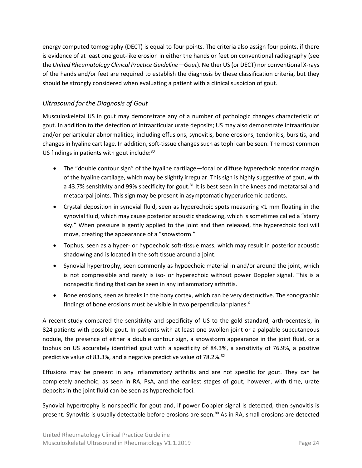energy computed tomography (DECT) is equal to four points. The criteria also assign four points, if there is evidence of at least one gout-like erosion in either the hands or feet on conventional radiography (see the *United Rheumatology Clinical Practice Guideline—Gout*). Neither US (or DECT) nor conventional X-rays of the hands and/or feet are required to establish the diagnosis by these classification criteria, but they should be strongly considered when evaluating a patient with a clinical suspicion of gout.

#### <span id="page-23-0"></span>*Ultrasound for the Diagnosis of Gout*

Musculoskeletal US in gout may demonstrate any of a number of pathologic changes characteristic of gout. In addition to the detection of intraarticular urate deposits; US may also demonstrate intraarticular and/or periarticular abnormalities; including effusions, synovitis, bone erosions, tendonitis, bursitis, and changes in hyaline cartilage. In addition, soft-tissue changes such as tophi can be seen. The most common US findings in patients with gout include:<sup>80</sup>

- The "double contour sign" of the hyaline cartilage—focal or diffuse hyperechoic anterior margin of the hyaline cartilage, which may be slightly irregular. This sign is highly suggestive of gout, with a 43.7% sensitivity and 99% specificity for gout.<sup>81</sup> It is best seen in the knees and metatarsal and metacarpal joints. This sign may be present in asymptomatic hyperuricemic patients.
- Crystal deposition in synovial fluid, seen as hyperechoic spots measuring <1 mm floating in the synovial fluid, which may cause posterior acoustic shadowing, which is sometimes called a "starry sky." When pressure is gently applied to the joint and then released, the hyperechoic foci will move, creating the appearance of a "snowstorm."
- Tophus, seen as a hyper- or hypoechoic soft-tissue mass, which may result in posterior acoustic shadowing and is located in the soft tissue around a joint.
- Synovial hypertrophy, seen commonly as hypoechoic material in and/or around the joint, which is not compressible and rarely is iso- or hyperechoic without power Doppler signal. This is a nonspecific finding that can be seen in any inflammatory arthritis.
- Bone erosions, seen as breaks in the bony cortex, which can be very destructive. The sonographic findings of bone erosions must be visible in two perpendicular planes.<sup>6</sup>

A recent study compared the sensitivity and specificity of US to the gold standard, arthrocentesis, in 824 patients with possible gout. In patients with at least one swollen joint or a palpable subcutaneous nodule, the presence of either a double contour sign, a snowstorm appearance in the joint fluid, or a tophus on US accurately identified gout with a specificity of 84.3%, a sensitivity of 76.9%, a positive predictive value of 83.3%, and a negative predictive value of 78.2%.<sup>82</sup>

Effusions may be present in any inflammatory arthritis and are not specific for gout. They can be completely anechoic; as seen in RA, PsA, and the earliest stages of gout; however, with time, urate deposits in the joint fluid can be seen as hyperechoic foci.

Synovial hypertrophy is nonspecific for gout and, if power Doppler signal is detected, then synovitis is present. Synovitis is usually detectable before erosions are seen.<sup>80</sup> As in RA, small erosions are detected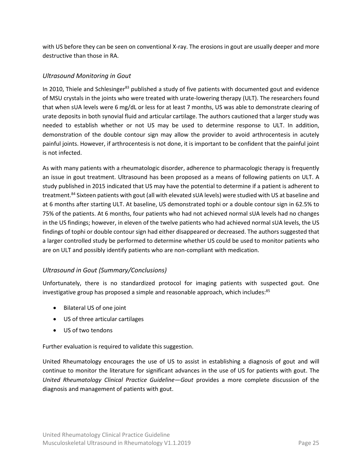with US before they can be seen on conventional X-ray. The erosions in gout are usually deeper and more destructive than those in RA.

#### <span id="page-24-0"></span>*Ultrasound Monitoring in Gout*

In 2010, Thiele and Schlesinger<sup>83</sup> published a study of five patients with documented gout and evidence of MSU crystals in the joints who were treated with urate-lowering therapy (ULT). The researchers found that when sUA levels were 6 mg/dL or less for at least 7 months, US was able to demonstrate clearing of urate deposits in both synovial fluid and articular cartilage. The authors cautioned that a larger study was needed to establish whether or not US may be used to determine response to ULT. In addition, demonstration of the double contour sign may allow the provider to avoid arthrocentesis in acutely painful joints. However, if arthrocentesis is not done, it is important to be confident that the painful joint is not infected.

As with many patients with a rheumatologic disorder, adherence to pharmacologic therapy is frequently an issue in gout treatment. Ultrasound has been proposed as a means of following patients on ULT. A study published in 2015 indicated that US may have the potential to determine if a patient is adherent to treatment. <sup>84</sup> Sixteen patients with gout (all with elevated sUA levels) were studied with US at baseline and at 6 months after starting ULT. At baseline, US demonstrated tophi or a double contour sign in 62.5% to 75% of the patients. At 6 months, four patients who had not achieved normal sUA levels had no changes in the US findings; however, in eleven of the twelve patients who had achieved normal sUA levels, the US findings of tophi or double contour sign had either disappeared or decreased. The authors suggested that a larger controlled study be performed to determine whether US could be used to monitor patients who are on ULT and possibly identify patients who are non-compliant with medication.

#### <span id="page-24-1"></span>*Ultrasound in Gout (Summary/Conclusions)*

Unfortunately, there is no standardized protocol for imaging patients with suspected gout. One investigative group has proposed a simple and reasonable approach, which includes:<sup>85</sup>

- Bilateral US of one joint
- US of three articular cartilages
- US of two tendons

Further evaluation is required to validate this suggestion.

United Rheumatology encourages the use of US to assist in establishing a diagnosis of gout and will continue to monitor the literature for significant advances in the use of US for patients with gout. The *United Rheumatology Clinical Practice Guideline—Gout* provides a more complete discussion of the diagnosis and management of patients with gout.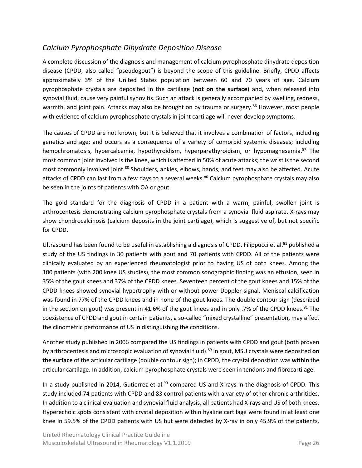#### <span id="page-25-0"></span>*Calcium Pyrophosphate Dihydrate Deposition Disease*

A complete discussion of the diagnosis and management of calcium pyrophosphate dihydrate deposition disease (CPDD, also called "pseudogout") is beyond the scope of this guideline. Briefly, CPDD affects approximately 3% of the United States population between 60 and 70 years of age. Calcium pyrophosphate crystals are deposited in the cartilage (**not on the surface**) and, when released into synovial fluid, cause very painful synovitis. Such an attack is generally accompanied by swelling, redness, warmth, and joint pain. Attacks may also be brought on by trauma or surgery.<sup>86</sup> However, most people with evidence of calcium pyrophosphate crystals in joint cartilage will never develop symptoms.

The causes of CPDD are not known; but it is believed that it involves a combination of factors, including genetics and age; and occurs as a consequence of a variety of comorbid systemic diseases; including hemochromatosis, hypercalcemia, hypothyroidism, hyperparathyroidism, or hypomagnesemia. <sup>87</sup> The most common joint involved is the knee, which is affected in 50% of acute attacks; the wrist is the second most commonly involved joint.<sup>88</sup> Shoulders, ankles, elbows, hands, and feet may also be affected. Acute attacks of CPDD can last from a few days to a several weeks.<sup>86</sup> Calcium pyrophosphate crystals may also be seen in the joints of patients with OA or gout.

The gold standard for the diagnosis of CPDD in a patient with a warm, painful, swollen joint is arthrocentesis demonstrating calcium pyrophosphate crystals from a synovial fluid aspirate. X-rays may show chondrocalcinosis (calcium deposits **in** the joint cartilage), which is suggestive of, but not specific for CPDD.

Ultrasound has been found to be useful in establishing a diagnosis of CPDD. Filippucci et al.<sup>81</sup> published a study of the US findings in 30 patients with gout and 70 patients with CPDD. All of the patients were clinically evaluated by an experienced rheumatologist prior to having US of both knees. Among the 100 patients (with 200 knee US studies), the most common sonographic finding was an effusion, seen in 35% of the gout knees and 37% of the CPDD knees. Seventeen percent of the gout knees and 15% of the CPDD knees showed synovial hypertrophy with or without power Doppler signal. Meniscal calcification was found in 77% of the CPDD knees and in none of the gout knees. The double contour sign (described in the section on gout) was present in 41.6% of the gout knees and in only .7% of the CPDD knees.<sup>81</sup> The coexistence of CPDD and gout in certain patients, a so-called "mixed crystalline" presentation, may affect the clinometric performance of US in distinguishing the conditions.

Another study published in 2006 compared the US findings in patients with CPDD and gout (both proven by arthrocentesis and microscopic evaluation of synovial fluid). <sup>89</sup> In gout, MSU crystals were deposited **on the surface** of the articular cartilage (double contour sign); in CPDD, the crystal deposition was **within** the articular cartilage. In addition, calcium pyrophosphate crystals were seen in tendons and fibrocartilage.

In a study published in 2014, Gutierrez et al.<sup>90</sup> compared US and X-rays in the diagnosis of CPDD. This study included 74 patients with CPDD and 83 control patients with a variety of other chronic arthritides. In addition to a clinical evaluation and synovial fluid analysis, all patients had X-rays and US of both knees. Hyperechoic spots consistent with crystal deposition within hyaline cartilage were found in at least one knee in 59.5% of the CPDD patients with US but were detected by X-ray in only 45.9% of the patients.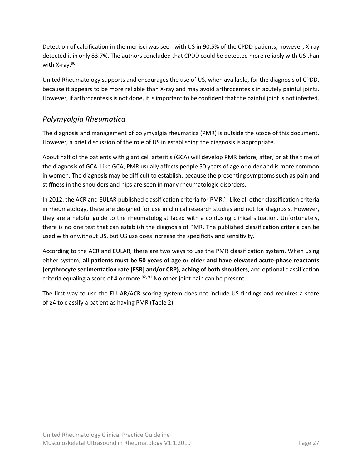Detection of calcification in the menisci was seen with US in 90.5% of the CPDD patients; however, X-ray detected it in only 83.7%. The authors concluded that CPDD could be detected more reliably with US than with X-ray.<sup>90</sup>

United Rheumatology supports and encourages the use of US, when available, for the diagnosis of CPDD, because it appears to be more reliable than X-ray and may avoid arthrocentesis in acutely painful joints. However, if arthrocentesis is not done, it is important to be confident that the painful joint is not infected.

## <span id="page-26-0"></span>*Polymyalgia Rheumatica*

The diagnosis and management of polymyalgia rheumatica (PMR) is outside the scope of this document. However, a brief discussion of the role of US in establishing the diagnosis is appropriate.

About half of the patients with giant cell arteritis (GCA) will develop PMR before, after, or at the time of the diagnosis of GCA. Like GCA, PMR usually affects people 50 years of age or older and is more common in women. The diagnosis may be difficult to establish, because the presenting symptoms such as pain and stiffness in the shoulders and hips are seen in many rheumatologic disorders.

In 2012, the ACR and EULAR published classification criteria for PMR.<sup>91</sup> Like all other classification criteria in rheumatology, these are designed for use in clinical research studies and not for diagnosis. However, they are a helpful guide to the rheumatologist faced with a confusing clinical situation. Unfortunately, there is no one test that can establish the diagnosis of PMR. The published classification criteria can be used with or without US, but US use does increase the specificity and sensitivity.

According to the ACR and EULAR, there are two ways to use the PMR classification system. When using either system; **all patients must be 50 years of age or older and have elevated acute-phase reactants (erythrocyte sedimentation rate [ESR] and/or CRP), aching of both shoulders,** and optional classification criteria equaling a score of 4 or more.<sup>92, 91</sup> No other joint pain can be present.

The first way to use the EULAR/ACR scoring system does not include US findings and requires a score of ≥4 to classify a patient as having PMR [\(Table](#page-27-0) 2).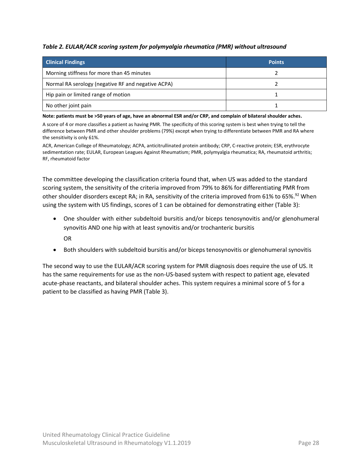#### <span id="page-27-0"></span>*Table 2. EULAR/ACR scoring system for polymyalgia rheumatica (PMR) without ultrasound*

| <b>Clinical Findings</b>                           | <b>Points</b> |
|----------------------------------------------------|---------------|
| Morning stiffness for more than 45 minutes         |               |
| Normal RA serology (negative RF and negative ACPA) |               |
| Hip pain or limited range of motion                |               |
| No other joint pain                                |               |

**Note: patients must be >50 years of age, have an abnormal ESR and/or CRP, and complain of bilateral shoulder aches.**

A score of 4 or more classifies a patient as having PMR. The specificity of this scoring system is best when trying to tell the difference between PMR and other shoulder problems (79%) except when trying to differentiate between PMR and RA where the sensitivity is only 61%.

ACR, American College of Rheumatology; ACPA, anticitrullinated protein antibody; CRP, C-reactive protein; ESR, erythrocyte sedimentation rate; EULAR, European Leagues Against Rheumatism; PMR, polymyalgia rheumatica; RA, rheumatoid arthritis; RF, rheumatoid factor

The committee developing the classification criteria found that, when US was added to the standard scoring system, the sensitivity of the criteria improved from 79% to 86% for differentiating PMR from other shoulder disorders except RA; in RA, sensitivity of the criteria improved from 61% to 65%.<sup>92</sup> When using the system with US findings, scores of 1 can be obtained for demonstrating either [\(Table](#page-28-1) 3):

- One shoulder with either subdeltoid bursitis and/or biceps tenosynovitis and/or glenohumeral synovitis AND one hip with at least synovitis and/or trochanteric bursitis OR
- Both shoulders with subdeltoid bursitis and/or biceps tenosynovitis or glenohumeral synovitis

The second way to use the EULAR/ACR scoring system for PMR diagnosis does require the use of US. It has the same requirements for use as the non-US-based system with respect to patient age, elevated acute-phase reactants, and bilateral shoulder aches. This system requires a minimal score of 5 for a patient to be classified as having PMR [\(Table](#page-28-1) 3).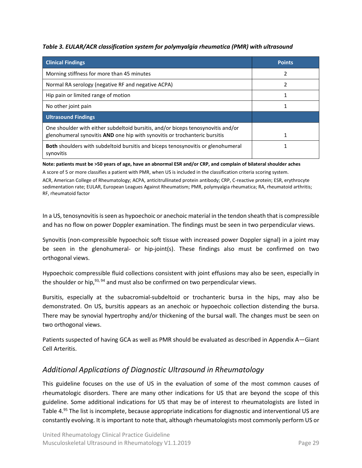<span id="page-28-1"></span>*Table 3. EULAR/ACR classification system for polymyalgia rheumatica (PMR) with ultrasound*

| <b>Clinical Findings</b>                                                                                                                                       | <b>Points</b> |
|----------------------------------------------------------------------------------------------------------------------------------------------------------------|---------------|
| Morning stiffness for more than 45 minutes                                                                                                                     |               |
| Normal RA serology (negative RF and negative ACPA)                                                                                                             |               |
| Hip pain or limited range of motion                                                                                                                            |               |
| No other joint pain                                                                                                                                            |               |
| <b>Ultrasound Findings</b>                                                                                                                                     |               |
| One shoulder with either subdeltoid bursitis, and/or biceps tenosynovitis and/or<br>glenohumeral synovitis AND one hip with synovitis or trochanteric bursitis |               |
| <b>Both</b> shoulders with subdeltoid bursitis and biceps tenosynovitis or glenohumeral<br>synovitis                                                           |               |

**Note: patients must be >50 years of age, have an abnormal ESR and/or CRP, and complain of bilateral shoulder aches**

A score of 5 or more classifies a patient with PMR, when US is included in the classification criteria scoring system.

ACR, American College of Rheumatology; ACPA, anticitrullinated protein antibody; CRP, C-reactive protein; ESR, erythrocyte sedimentation rate; EULAR, European Leagues Against Rheumatism; PMR, polymyalgia rheumatica; RA, rheumatoid arthritis; RF, rheumatoid factor

In a US, tenosynovitis is seen as hypoechoic or anechoic material in the tendon sheath that is compressible and has no flow on power Doppler examination. The findings must be seen in two perpendicular views.

Synovitis (non-compressible hypoechoic soft tissue with increased power Doppler signal) in a joint may be seen in the glenohumeral- or hip-joint(s). These findings also must be confirmed on two orthogonal views.

Hypoechoic compressible fluid collections consistent with joint effusions may also be seen, especially in the shoulder or hip,<sup>93, 94</sup> and must also be confirmed on two perpendicular views.

Bursitis, especially at the subacromial-subdeltoid or trochanteric bursa in the hips, may also be demonstrated. On US, bursitis appears as an anechoic or hypoechoic collection distending the bursa. There may be synovial hypertrophy and/or thickening of the bursal wall. The changes must be seen on two orthogonal views.

Patients suspected of having GCA as well as PMR should be evaluated as described i[n Appendix A](#page-43-0)—Giant [Cell Arteritis.](#page-43-0)

#### <span id="page-28-0"></span>*Additional Applications of Diagnostic Ultrasound in Rheumatology*

This guideline focuses on the use of US in the evaluation of some of the most common causes of rheumatologic disorders. There are many other indications for US that are beyond the scope of this guideline. Some additional indications for US that may be of interest to rheumatologists are listed in [Table](#page-29-0) 4. <sup>95</sup> The list is incomplete, because appropriate indications for diagnostic and interventional US are constantly evolving. It is important to note that, although rheumatologists most commonly perform US or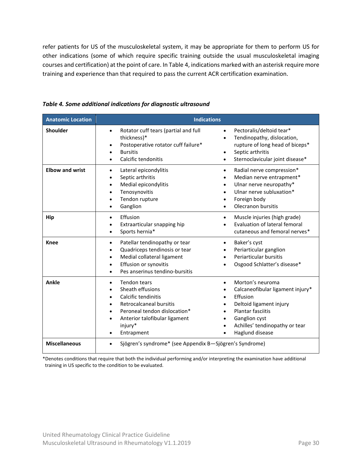refer patients for US of the musculoskeletal system, it may be appropriate for them to perform US for other indications (some of which require specific training outside the usual musculoskeletal imaging courses and certification) at the point of care. I[n Table](#page-29-0) 4, indications marked with an asterisk require more training and experience than that required to pass the current ACR certification examination.

| <b>Anatomic Location</b> | <b>Indications</b>                                                                                                                                                                                                  |                                                                                                                                                                                                                                                                |  |
|--------------------------|---------------------------------------------------------------------------------------------------------------------------------------------------------------------------------------------------------------------|----------------------------------------------------------------------------------------------------------------------------------------------------------------------------------------------------------------------------------------------------------------|--|
| Shoulder                 | Rotator cuff tears (partial and full<br>$\bullet$<br>thickness)*<br>Postoperative rotator cuff failure*<br><b>Bursitis</b><br>$\bullet$<br>Calcific tendonitis<br>$\bullet$                                         | Pectoralis/deltoid tear*<br>$\bullet$<br>Tendinopathy, dislocation,<br>$\bullet$<br>rupture of long head of biceps*<br>Septic arthritis<br>$\bullet$<br>Sternoclavicular joint disease*<br>$\bullet$                                                           |  |
| <b>Elbow and wrist</b>   | Lateral epicondylitis<br>$\bullet$<br>Septic arthritis<br>$\bullet$<br>Medial epicondylitis<br>$\bullet$<br>Tenosynovitis<br>Tendon rupture<br>Ganglion<br>$\bullet$                                                | Radial nerve compression*<br>$\bullet$<br>Median nerve entrapment*<br>$\bullet$<br>Ulnar nerve neuropathy*<br>$\bullet$<br>Ulnar nerve subluxation*<br>$\bullet$<br>Foreign body<br>Olecranon bursitis                                                         |  |
| Hip                      | Effusion<br>$\bullet$<br>Extraarticular snapping hip<br>Sports hernia*<br>$\bullet$                                                                                                                                 | Muscle injuries (high grade)<br>$\bullet$<br>Evaluation of lateral femoral<br>cutaneous and femoral nerves*                                                                                                                                                    |  |
| <b>Knee</b>              | Patellar tendinopathy or tear<br>$\bullet$<br>Quadriceps tendinosis or tear<br>Medial collateral ligament<br>$\bullet$<br>Effusion or synovitis<br>$\bullet$<br>Pes anserinus tendino-bursitis<br>$\bullet$         | Baker's cyst<br>$\bullet$<br>Periarticular ganglion<br>Periarticular bursitis<br>Osgood Schlatter's disease*                                                                                                                                                   |  |
| Ankle                    | Tendon tears<br>$\bullet$<br>Sheath effusions<br>Calcific tendinitis<br>$\bullet$<br>Retrocalcaneal bursitis<br>Peroneal tendon dislocation*<br>$\bullet$<br>Anterior talofibular ligament<br>injury*<br>Entrapment | Morton's neuroma<br>$\bullet$<br>Calcaneofibular ligament injury*<br>Effusion<br>$\bullet$<br>Deltoid ligament injury<br>$\bullet$<br><b>Plantar fasciitis</b><br>$\bullet$<br>Ganglion cyst<br>$\bullet$<br>Achilles' tendinopathy or tear<br>Haglund disease |  |
| <b>Miscellaneous</b>     | Sjögren's syndrome* (see Appendix B-Sjögren's Syndrome)<br>$\bullet$                                                                                                                                                |                                                                                                                                                                                                                                                                |  |

<span id="page-29-0"></span>*Table 4. Some additional indications for diagnostic ultrasound*

\*Denotes conditions that require that both the individual performing and/or interpreting the examination have additional training in US specific to the condition to be evaluated.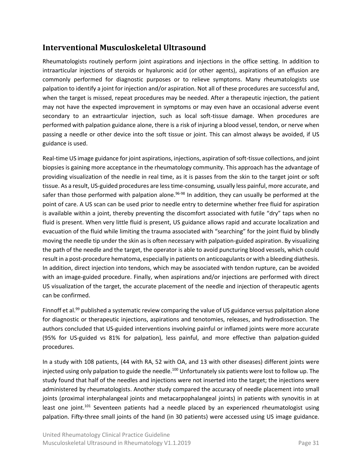#### <span id="page-30-0"></span>**Interventional Musculoskeletal Ultrasound**

Rheumatologists routinely perform joint aspirations and injections in the office setting. In addition to intraarticular injections of steroids or hyaluronic acid (or other agents), aspirations of an effusion are commonly performed for diagnostic purposes or to relieve symptoms. Many rheumatologists use palpation to identify a joint for injection and/or aspiration. Not all of these procedures are successful and, when the target is missed, repeat procedures may be needed. After a therapeutic injection, the patient may not have the expected improvement in symptoms or may even have an occasional adverse event secondary to an extraarticular injection, such as local soft-tissue damage. When procedures are performed with palpation guidance alone, there is a risk of injuring a blood vessel, tendon, or nerve when passing a needle or other device into the soft tissue or joint. This can almost always be avoided, if US guidance is used.

Real-time US image guidance for joint aspirations, injections, aspiration of soft-tissue collections, and joint biopsies is gaining more acceptance in the rheumatology community. This approach has the advantage of providing visualization of the needle in real time, as it is passes from the skin to the target joint or soft tissue. As a result, US-guided procedures are less time-consuming, usually less painful, more accurate, and safer than those performed with palpation alone.<sup>96-98</sup> In addition, they can usually be performed at the point of care. A US scan can be used prior to needle entry to determine whether free fluid for aspiration is available within a joint, thereby preventing the discomfort associated with futile "dry" taps when no fluid is present. When very little fluid is present, US guidance allows rapid and accurate localization and evacuation of the fluid while limiting the trauma associated with "searching" for the joint fluid by blindly moving the needle tip under the skin as is often necessary with palpation-guided aspiration. By visualizing the path of the needle and the target, the operator is able to avoid puncturing blood vessels, which could result in a post-procedure hematoma, especially in patients on anticoagulants or with a bleeding diathesis. In addition, direct injection into tendons, which may be associated with tendon rupture, can be avoided with an image-guided procedure. Finally, when aspirations and/or injections are performed with direct US visualization of the target, the accurate placement of the needle and injection of therapeutic agents can be confirmed.

Finnoff et al.<sup>99</sup> published a systematic review comparing the value of US guidance versus palpitation alone for diagnostic or therapeutic injections, aspirations and tenotomies, releases, and hydrodissection. The authors concluded that US-guided interventions involving painful or inflamed joints were more accurate (95% for US-guided vs 81% for palpation), less painful, and more effective than palpation-guided procedures.

In a study with 108 patients, (44 with RA, 52 with OA, and 13 with other diseases) different joints were injected using only palpation to guide the needle.<sup>100</sup> Unfortunately six patients were lost to follow up. The study found that half of the needles and injections were not inserted into the target; the injections were administered by rheumatologists. Another study compared the accuracy of needle placement into small joints (proximal interphalangeal joints and metacarpophalangeal joints) in patients with synovitis in at least one joint.<sup>101</sup> Seventeen patients had a needle placed by an experienced rheumatologist using palpation. Fifty-three small joints of the hand (in 30 patients) were accessed using US image guidance.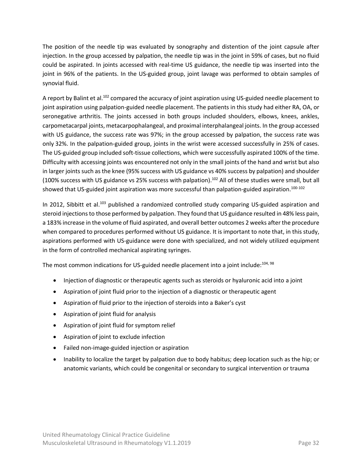The position of the needle tip was evaluated by sonography and distention of the joint capsule after injection. In the group accessed by palpation, the needle tip was in the joint in 59% of cases, but no fluid could be aspirated. In joints accessed with real-time US guidance, the needle tip was inserted into the joint in 96% of the patients. In the US-guided group, joint lavage was performed to obtain samples of synovial fluid.

A report by Balint et al.<sup>102</sup> compared the accuracy of joint aspiration using US-guided needle placement to joint aspiration using palpation-guided needle placement. The patients in this study had either RA, OA, or seronegative arthritis. The joints accessed in both groups included shoulders, elbows, knees, ankles, carpometacarpal joints, metacarpophalangeal, and proximal interphalangeal joints. In the group accessed with US guidance, the success rate was 97%; in the group accessed by palpation, the success rate was only 32%. In the palpation-guided group, joints in the wrist were accessed successfully in 25% of cases. The US-guided group included soft-tissue collections, which were successfully aspirated 100% of the time. Difficulty with accessing joints was encountered not only in the small joints of the hand and wrist but also in larger joints such as the knee (95% success with US guidance vs 40% success by palpation) and shoulder (100% success with US guidance vs 25% success with palpation).<sup>102</sup> All of these studies were small, but all showed that US-guided joint aspiration was more successful than palpation-guided aspiration.<sup>100-102</sup>

In 2012, Sibbitt et al.<sup>103</sup> published a randomized controlled study comparing US-guided aspiration and steroid injections to those performed by palpation. They found that US guidance resulted in 48% less pain, a 183% increase in the volume of fluid aspirated, and overall better outcomes 2 weeks after the procedure when compared to procedures performed without US guidance. It is important to note that, in this study, aspirations performed with US-guidance were done with specialized, and not widely utilized equipment in the form of controlled mechanical aspirating syringes.

The most common indications for US-guided needle placement into a joint include:<sup>104, 98</sup>

- Injection of diagnostic or therapeutic agents such as steroids or hyaluronic acid into a joint
- Aspiration of joint fluid prior to the injection of a diagnostic or therapeutic agent
- Aspiration of fluid prior to the injection of steroids into a Baker's cyst
- Aspiration of joint fluid for analysis
- Aspiration of joint fluid for symptom relief
- Aspiration of joint to exclude infection
- Failed non-image-guided injection or aspiration
- Inability to localize the target by palpation due to body habitus; deep location such as the hip; or anatomic variants, which could be congenital or secondary to surgical intervention or trauma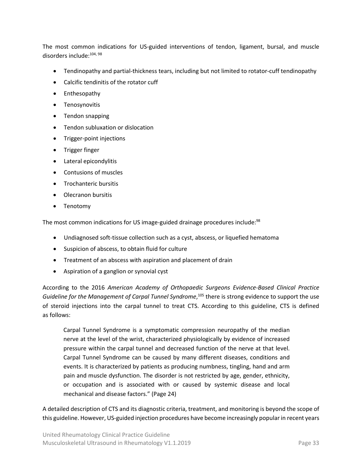The most common indications for US-guided interventions of tendon, ligament, bursal, and muscle disorders include:<sup>104, 98</sup>

- Tendinopathy and partial-thickness tears, including but not limited to rotator-cuff tendinopathy
- Calcific tendinitis of the rotator cuff
- Enthesopathy
- Tenosynovitis
- Tendon snapping
- Tendon subluxation or dislocation
- Trigger-point injections
- Trigger finger
- Lateral epicondylitis
- Contusions of muscles
- Trochanteric bursitis
- Olecranon bursitis
- Tenotomy

The most common indications for US image-guided drainage procedures include:<sup>98</sup>

- Undiagnosed soft-tissue collection such as a cyst, abscess, or liquefied hematoma
- Suspicion of abscess, to obtain fluid for culture
- Treatment of an abscess with aspiration and placement of drain
- Aspiration of a ganglion or synovial cyst

According to the 2016 *American Academy of Orthopaedic Surgeons Evidence-Based Clinical Practice* Guideline for the Management of Carpal Tunnel Syndrome,<sup>105</sup> there is strong evidence to support the use of steroid injections into the carpal tunnel to treat CTS. According to this guideline, CTS is defined as follows:

Carpal Tunnel Syndrome is a symptomatic compression neuropathy of the median nerve at the level of the wrist, characterized physiologically by evidence of increased pressure within the carpal tunnel and decreased function of the nerve at that level. Carpal Tunnel Syndrome can be caused by many different diseases, conditions and events. It is characterized by patients as producing numbness, tingling, hand and arm pain and muscle dysfunction. The disorder is not restricted by age, gender, ethnicity, or occupation and is associated with or caused by systemic disease and local mechanical and disease factors." (Page 24)

A detailed description of CTS and its diagnostic criteria, treatment, and monitoring is beyond the scope of this guideline. However, US-guided injection procedures have become increasingly popular in recent years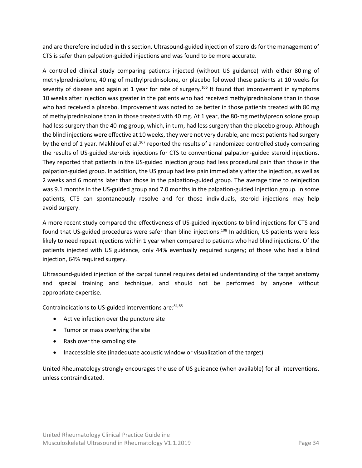and are therefore included in this section. Ultrasound-guided injection of steroids for the management of CTS is safer than palpation-guided injections and was found to be more accurate.

A controlled clinical study comparing patients injected (without US guidance) with either 80 mg of methylprednisolone, 40 mg of methylprednisolone, or placebo followed these patients at 10 weeks for severity of disease and again at 1 year for rate of surgery.<sup>106</sup> It found that improvement in symptoms 10 weeks after injection was greater in the patients who had received methylprednisolone than in those who had received a placebo. Improvement was noted to be better in those patients treated with 80 mg of methylprednisolone than in those treated with 40 mg. At 1 year, the 80-mg methylprednisolone group had less surgery than the 40-mg group, which, in turn, had less surgery than the placebo group. Although the blind injections were effective at 10 weeks, they were not very durable, and most patients had surgery by the end of 1 year. Makhlouf et al.<sup>107</sup> reported the results of a randomized controlled study comparing the results of US-guided steroids injections for CTS to conventional palpation-guided steroid injections. They reported that patients in the US-guided injection group had less procedural pain than those in the palpation-guided group. In addition, the US group had less pain immediately after the injection, as well as 2 weeks and 6 months later than those in the palpation-guided group. The average time to reinjection was 9.1 months in the US-guided group and 7.0 months in the palpation-guided injection group. In some patients, CTS can spontaneously resolve and for those individuals, steroid injections may help avoid surgery.

A more recent study compared the effectiveness of US-guided injections to blind injections for CTS and found that US-guided procedures were safer than blind injections.<sup>108</sup> In addition, US patients were less likely to need repeat injections within 1 year when compared to patients who had blind injections. Of the patients injected with US guidance, only 44% eventually required surgery; of those who had a blind injection, 64% required surgery.

Ultrasound-guided injection of the carpal tunnel requires detailed understanding of the target anatomy and special training and technique, and should not be performed by anyone without appropriate expertise.

Contraindications to US-guided interventions are: 84,85

- Active infection over the puncture site
- Tumor or mass overlying the site
- Rash over the sampling site
- Inaccessible site (inadequate acoustic window or visualization of the target)

United Rheumatology strongly encourages the use of US guidance (when available) for all interventions, unless contraindicated.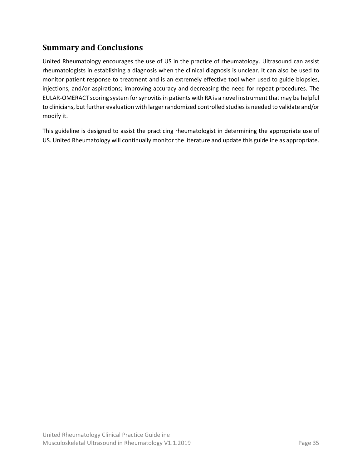## <span id="page-34-0"></span>**Summary and Conclusions**

United Rheumatology encourages the use of US in the practice of rheumatology. Ultrasound can assist rheumatologists in establishing a diagnosis when the clinical diagnosis is unclear. It can also be used to monitor patient response to treatment and is an extremely effective tool when used to guide biopsies, injections, and/or aspirations; improving accuracy and decreasing the need for repeat procedures. The EULAR-OMERACT scoring system for synovitis in patients with RA is a novel instrument that may be helpful to clinicians, but further evaluation with larger randomized controlled studies is needed to validate and/or modify it.

This guideline is designed to assist the practicing rheumatologist in determining the appropriate use of US. United Rheumatology will continually monitor the literature and update this guideline as appropriate.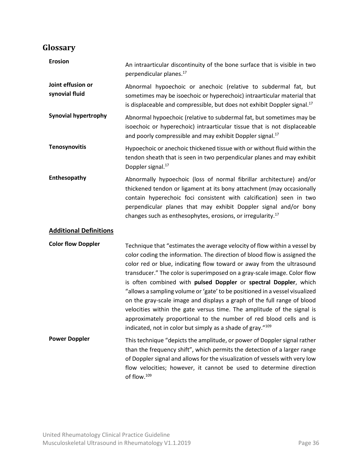## <span id="page-35-0"></span>**Glossary**

| <b>Erosion</b>                      | An intraarticular discontinuity of the bone surface that is visible in two<br>perpendicular planes. <sup>17</sup>                                                                                                                                                                                                                                                                                                                                                                                                                                                                                                                                                                                                                                       |
|-------------------------------------|---------------------------------------------------------------------------------------------------------------------------------------------------------------------------------------------------------------------------------------------------------------------------------------------------------------------------------------------------------------------------------------------------------------------------------------------------------------------------------------------------------------------------------------------------------------------------------------------------------------------------------------------------------------------------------------------------------------------------------------------------------|
| Joint effusion or<br>synovial fluid | Abnormal hypoechoic or anechoic (relative to subdermal fat, but<br>sometimes may be isoechoic or hyperechoic) intraarticular material that<br>is displaceable and compressible, but does not exhibit Doppler signal. <sup>17</sup>                                                                                                                                                                                                                                                                                                                                                                                                                                                                                                                      |
| <b>Synovial hypertrophy</b>         | Abnormal hypoechoic (relative to subdermal fat, but sometimes may be<br>isoechoic or hyperechoic) intraarticular tissue that is not displaceable<br>and poorly compressible and may exhibit Doppler signal. <sup>17</sup>                                                                                                                                                                                                                                                                                                                                                                                                                                                                                                                               |
| <b>Tenosynovitis</b>                | Hypoechoic or anechoic thickened tissue with or without fluid within the<br>tendon sheath that is seen in two perpendicular planes and may exhibit<br>Doppler signal. <sup>17</sup>                                                                                                                                                                                                                                                                                                                                                                                                                                                                                                                                                                     |
| Enthesopathy                        | Abnormally hypoechoic (loss of normal fibrillar architecture) and/or<br>thickened tendon or ligament at its bony attachment (may occasionally<br>contain hyperechoic foci consistent with calcification) seen in two<br>perpendicular planes that may exhibit Doppler signal and/or bony<br>changes such as enthesophytes, erosions, or irregularity. <sup>17</sup>                                                                                                                                                                                                                                                                                                                                                                                     |
| <b>Additional Definitions</b>       |                                                                                                                                                                                                                                                                                                                                                                                                                                                                                                                                                                                                                                                                                                                                                         |
| <b>Color flow Doppler</b>           | Technique that "estimates the average velocity of flow within a vessel by<br>color coding the information. The direction of blood flow is assigned the<br>color red or blue, indicating flow toward or away from the ultrasound<br>transducer." The color is superimposed on a gray-scale image. Color flow<br>is often combined with pulsed Doppler or spectral Doppler, which<br>"allows a sampling volume or 'gate' to be positioned in a vessel visualized<br>on the gray-scale image and displays a graph of the full range of blood<br>velocities within the gate versus time. The amplitude of the signal is<br>approximately proportional to the number of red blood cells and is<br>indicated, not in color but simply as a shade of gray."109 |
| <b>Power Doppler</b>                | This technique "depicts the amplitude, or power of Doppler signal rather<br>than the frequency shift", which permits the detection of a larger range<br>of Doppler signal and allows for the visualization of vessels with very low<br>flow velocities; however, it cannot be used to determine direction<br>of flow. <sup>109</sup>                                                                                                                                                                                                                                                                                                                                                                                                                    |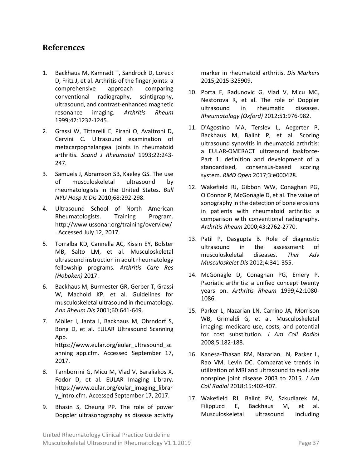#### <span id="page-36-0"></span>**References**

- 1. Backhaus M, Kamradt T, Sandrock D, Loreck D, Fritz J, et al. Arthritis of the finger joints: a comprehensive approach comparing conventional radiography, scintigraphy, ultrasound, and contrast-enhanced magnetic resonance imaging. *Arthritis Rheum* 1999;42:1232-1245.
- 2. Grassi W, Tittarelli E, Pirani O, Avaltroni D, Cervini C. Ultrasound examination of metacarpophalangeal joints in rheumatoid arthritis. *Scand J Rheumatol* 1993;22:243- 247.
- 3. Samuels J, Abramson SB, Kaeley GS. The use of musculoskeletal ultrasound by rheumatologists in the United States. *Bull NYU Hosp Jt Dis* 2010;68:292-298.
- 4. Ultrasound School of North American Rheumatologists. Training Program. <http://www.ussonar.org/training/overview/> . Accessed July 12, 2017.
- 5. Torralba KD, Cannella AC, Kissin EY, Bolster MB, Salto LM, et al. Musculoskeletal ultrasound instruction in adult rheumatology fellowship programs. *Arthritis Care Res (Hoboken)* 2017.
- 6. Backhaus M, Burmester GR, Gerber T, Grassi W, Machold KP, et al. Guidelines for musculoskeletal ultrasound in rheumatology. *Ann Rheum Dis* 2001;60:641-649.
- 7. Möller I, Janta I, Backhaus M, Ohrndorf S, Bong D, et al. EULAR Ultrasound Scanning App. [https://www.eular.org/eular\\_ultrasound\\_sc](https://www.eular.org/eular_ultrasound_scanning_app.cfm) [anning\\_app.cfm.](https://www.eular.org/eular_ultrasound_scanning_app.cfm) Accessed September 17, 2017.
- 8. Tamborrini G, Micu M, Vlad V, Baraliakos X, Fodor D, et al. EULAR Imaging Library. [https://www.eular.org/eular\\_imaging\\_librar](https://www.eular.org/eular_imaging_library_intro.cfm) [y\\_intro.cfm.](https://www.eular.org/eular_imaging_library_intro.cfm) Accessed September 17, 2017.
- 9. Bhasin S, Cheung PP. The role of power Doppler ultrasonography as disease activity

marker in rheumatoid arthritis. *Dis Markers*  2015;2015:325909.

- 10. Porta F, Radunovic G, Vlad V, Micu MC, Nestorova R, et al. The role of Doppler ultrasound in rheumatic diseases. *Rheumatology (Oxford)* 2012;51:976-982.
- 11. D'Agostino MA, Terslev L, Aegerter P, Backhaus M, Balint P, et al. Scoring ultrasound synovitis in rheumatoid arthritis: a EULAR-OMERACT ultrasound taskforce-Part 1: definition and development of a standardised, consensus-based scoring system. *RMD Open* 2017;3:e000428.
- 12. Wakefield RJ, Gibbon WW, Conaghan PG, O'Connor P, McGonagle D, et al. The value of sonography in the detection of bone erosions in patients with rheumatoid arthritis: a comparison with conventional radiography. *Arthritis Rheum* 2000;43:2762-2770.
- 13. Patil P, Dasgupta B. Role of diagnostic ultrasound in the assessment of musculoskeletal diseases. *Ther Adv Musculoskelet Dis* 2012;4:341-355.
- 14. McGonagle D, Conaghan PG, Emery P. Psoriatic arthritis: a unified concept twenty years on. *Arthritis Rheum* 1999;42:1080- 1086.
- 15. Parker L, Nazarian LN, Carrino JA, Morrison WB, Grimaldi G, et al. Musculoskeletal imaging: medicare use, costs, and potential for cost substitution. *J Am Coll Radiol* 2008;5:182-188.
- 16. Kanesa-Thasan RM, Nazarian LN, Parker L, Rao VM, Levin DC. Comparative trends in utilization of MRI and ultrasound to evaluate nonspine joint disease 2003 to 2015. *J Am Coll Radiol* 2018;15:402-407.
- 17. Wakefield RJ, Balint PV, Szkudlarek M, Filippucci E, Backhaus M, et al. Musculoskeletal ultrasound including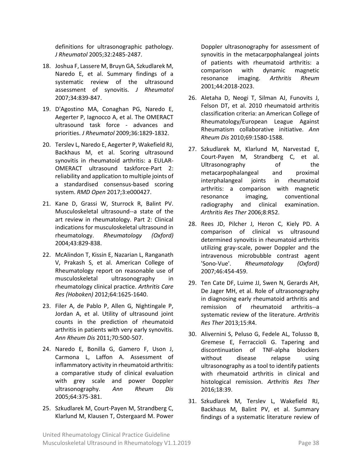definitions for ultrasonographic pathology. *J Rheumatol* 2005;32:2485-2487.

- 18. Joshua F, Lassere M, Bruyn GA, Szkudlarek M, Naredo E, et al. Summary findings of a systematic review of the ultrasound assessment of synovitis. *J Rheumatol* 2007;34:839-847.
- 19. D'Agostino MA, Conaghan PG, Naredo E, Aegerter P, Iagnocco A, et al. The OMERACT ultrasound task force - advances and priorities. *J Rheumatol* 2009;36:1829-1832.
- 20. Terslev L, Naredo E, Aegerter P, Wakefield RJ, Backhaus M, et al. Scoring ultrasound synovitis in rheumatoid arthritis: a EULAR-OMERACT ultrasound taskforce-Part 2: reliability and application to multiple joints of a standardised consensus-based scoring system. *RMD Open* 2017;3:e000427.
- 21. Kane D, Grassi W, Sturrock R, Balint PV. Musculoskeletal ultrasound--a state of the art review in rheumatology. Part 2: Clinical indications for musculoskeletal ultrasound in rheumatology. *Rheumatology (Oxford)* 2004;43:829-838.
- 22. McAlindon T, Kissin E, Nazarian L, Ranganath V, Prakash S, et al. American College of Rheumatology report on reasonable use of musculoskeletal ultrasonography in rheumatology clinical practice. *Arthritis Care Res (Hoboken)* 2012;64:1625-1640.
- 23. Filer A, de Pablo P, Allen G, Nightingale P, Jordan A, et al. Utility of ultrasound joint counts in the prediction of rheumatoid arthritis in patients with very early synovitis. *Ann Rheum Dis* 2011;70:500-507.
- 24. Naredo E, Bonilla G, Gamero F, Uson J, Carmona L, Laffon A. Assessment of inflammatory activity in rheumatoid arthritis: a comparative study of clinical evaluation with grey scale and power Doppler ultrasonography. *Ann Rheum Dis* 2005;64:375-381.
- 25. Szkudlarek M, Court-Payen M, Strandberg C, Klarlund M, Klausen T, Ostergaard M. Power

Doppler ultrasonography for assessment of synovitis in the metacarpophalangeal joints of patients with rheumatoid arthritis: a comparison with dynamic magnetic resonance imaging. *Arthritis Rheum* 2001;44:2018-2023.

- 26. Aletaha D, Neogi T, Silman AJ, Funovits J, Felson DT, et al. 2010 rheumatoid arthritis classification criteria: an American College of Rheumatology/European League Against Rheumatism collaborative initiative. *Ann Rheum Dis* 2010;69:1580-1588.
- 27. Szkudlarek M, Klarlund M, Narvestad E, Court-Payen M, Strandberg C, et al. Ultrasonography of the metacarpophalangeal and proximal interphalangeal joints in rheumatoid arthritis: a comparison with magnetic resonance imaging, conventional radiography and clinical examination. *Arthritis Res Ther* 2006;8:R52.
- 28. Rees JD, Pilcher J, Heron C, Kiely PD. A comparison of clinical vs ultrasound determined synovitis in rheumatoid arthritis utilizing gray-scale, power Doppler and the intravenous microbubble contrast agent 'Sono-Vue'. *Rheumatology (Oxford)*  2007;46:454-459.
- 29. Ten Cate DF, Luime JJ, Swen N, Gerards AH, De Jager MH, et al. Role of ultrasonography in diagnosing early rheumatoid arthritis and remission of rheumatoid arthritis--a systematic review of the literature. *Arthritis Res Ther* 2013;15:R4.
- 30. Alivernini S, Peluso G, Fedele AL, Tolusso B, Gremese E, Ferraccioli G. Tapering and discontinuation of TNF-alpha blockers without disease relapse using ultrasonography as a tool to identify patients with rheumatoid arthritis in clinical and histological remission. *Arthritis Res Ther* 2016;18:39.
- 31. Szkudlarek M, Terslev L, Wakefield RJ, Backhaus M, Balint PV, et al. Summary findings of a systematic literature review of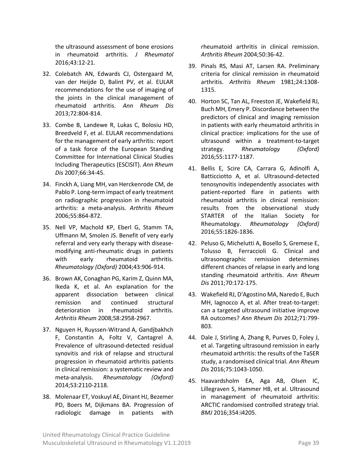the ultrasound assessment of bone erosions in rheumatoid arthritis. *J Rheumatol* 2016;43:12-21.

- 32. Colebatch AN, Edwards CJ, Ostergaard M, van der Heijde D, Balint PV, et al. EULAR recommendations for the use of imaging of the joints in the clinical management of rheumatoid arthritis. *Ann Rheum Dis* 2013;72:804-814.
- 33. Combe B, Landewe R, Lukas C, Bolosiu HD, Breedveld F, et al. EULAR recommendations for the management of early arthritis: report of a task force of the European Standing Committee for International Clinical Studies Including Therapeutics (ESCISIT). *Ann Rheum Dis* 2007;66:34-45.
- 34. Finckh A, Liang MH, van Herckenrode CM, de Pablo P. Long-term impact of early treatment on radiographic progression in rheumatoid arthritis: a meta-analysis. *Arthritis Rheum* 2006;55:864-872.
- 35. Nell VP, Machold KP, Eberl G, Stamm TA, Uffmann M, Smolen JS. Benefit of very early referral and very early therapy with diseasemodifying anti-rheumatic drugs in patients with early rheumatoid arthritis. *Rheumatology (Oxford)* 2004;43:906-914.
- 36. Brown AK, Conaghan PG, Karim Z, Quinn MA, Ikeda K, et al. An explanation for the apparent dissociation between clinical remission and continued structural deterioration in rheumatoid arthritis. *Arthritis Rheum* 2008;58:2958-2967.
- 37. Nguyen H, Ruyssen-Witrand A, Gandjbakhch F, Constantin A, Foltz V, Cantagrel A. Prevalence of ultrasound-detected residual synovitis and risk of relapse and structural progression in rheumatoid arthritis patients in clinical remission: a systematic review and meta-analysis. *Rheumatology (Oxford)* 2014;53:2110-2118.
- 38. Molenaar ET, Voskuyl AE, Dinant HJ, Bezemer PD, Boers M, Dijkmans BA. Progression of radiologic damage in patients with

rheumatoid arthritis in clinical remission. *Arthritis Rheum* 2004;50:36-42.

- 39. Pinals RS, Masi AT, Larsen RA. Preliminary criteria for clinical remission in rheumatoid arthritis. *Arthritis Rheum* 1981;24:1308- 1315.
- 40. Horton SC, Tan AL, Freeston JE, Wakefield RJ, Buch MH, Emery P. Discordance between the predictors of clinical and imaging remission in patients with early rheumatoid arthritis in clinical practice: implications for the use of ultrasound within a treatment-to-target strategy. *Rheumatology (Oxford)* 2016;55:1177-1187.
- 41. Bellis E, Scire CA, Carrara G, Adinolfi A, Batticciotto A, et al. Ultrasound-detected tenosynovitis independently associates with patient-reported flare in patients with rheumatoid arthritis in clinical remission: results from the observational study STARTER of the Italian Society for Rheumatology. *Rheumatology (Oxford)* 2016;55:1826-1836.
- 42. Peluso G, Michelutti A, Bosello S, Gremese E, Tolusso B, Ferraccioli G. Clinical and ultrasonographic remission determines different chances of relapse in early and long standing rheumatoid arthritis. *Ann Rheum Dis* 2011;70:172-175.
- 43. Wakefield RJ, D'Agostino MA, Naredo E, Buch MH, Iagnocco A, et al. After treat-to-target: can a targeted ultrasound initiative improve RA outcomes? *Ann Rheum Dis* 2012;71:799- 803.
- 44. Dale J, Stirling A, Zhang R, Purves D, Foley J, et al. Targeting ultrasound remission in early rheumatoid arthritis: the results of the TaSER study, a randomised clinical trial. *Ann Rheum Dis* 2016;75:1043-1050.
- 45. Haavardsholm EA, Aga AB, Olsen IC, Lillegraven S, Hammer HB, et al. Ultrasound in management of rheumatoid arthritis: ARCTIC randomised controlled strategy trial. *BMJ* 2016;354:i4205.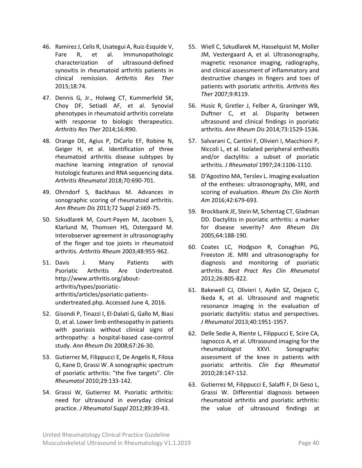- 46. Ramirez J, Celis R, Usategui A, Ruiz-Esquide V, Fare R, et al. Immunopathologic characterization of ultrasound-defined synovitis in rheumatoid arthritis patients in clinical remission. *Arthritis Res Ther* 2015;18:74.
- 47. Dennis G, Jr., Holweg CT, Kummerfeld SK, Choy DF, Setiadi AF, et al. Synovial phenotypes in rheumatoid arthritis correlate with response to biologic therapeutics. *Arthritis Res Ther* 2014;16:R90.
- 48. Orange DE, Agius P, DiCarlo EF, Robine N, Geiger H, et al. Identification of three rheumatoid arthritis disease subtypes by machine learning integration of synovial histologic features and RNA sequencing data. *Arthritis Rheumatol* 2018;70:690-701.
- 49. Ohrndorf S, Backhaus M. Advances in sonographic scoring of rheumatoid arthritis. *Ann Rheum Dis* 2013;72 Suppl 2:ii69-75.
- 50. Szkudlarek M, Court-Payen M, Jacobsen S, Klarlund M, Thomsen HS, Ostergaard M. Interobserver agreement in ultrasonography of the finger and toe joints in rheumatoid arthritis. *Arthritis Rheum* 2003;48:955-962.
- 51. Davis J. Many Patients with Psoriatic Arthritis Are Undertreated. [http://www.arthritis.org/about](http://www.arthritis.org/about-arthritis/types/psoriatic-arthritis/articles/psoriatic-patients-undertreated.php)[arthritis/types/psoriatic](http://www.arthritis.org/about-arthritis/types/psoriatic-arthritis/articles/psoriatic-patients-undertreated.php)[arthritis/articles/psoriatic-patients](http://www.arthritis.org/about-arthritis/types/psoriatic-arthritis/articles/psoriatic-patients-undertreated.php)[undertreated.php.](http://www.arthritis.org/about-arthritis/types/psoriatic-arthritis/articles/psoriatic-patients-undertreated.php) Accessed June 4, 2016.
- 52. Gisondi P, Tinazzi I, El-Dalati G, Gallo M, Biasi D, et al. Lower limb enthesopathy in patients with psoriasis without clinical signs of arthropathy: a hospital-based case-control study. *Ann Rheum Dis* 2008;67:26-30.
- 53. Gutierrez M, Filippucci E, De Angelis R, Filosa G, Kane D, Grassi W. A sonographic spectrum of psoriatic arthritis: "the five targets". *Clin Rheumatol* 2010;29:133-142.
- 54. Grassi W, Gutierrez M. Psoriatic arthritis: need for ultrasound in everyday clinical practice. *J Rheumatol Suppl* 2012;89:39-43.
- 55. Wiell C, Szkudlarek M, Hasselquist M, Moller JM, Vestergaard A, et al. Ultrasonography, magnetic resonance imaging, radiography, and clinical assessment of inflammatory and destructive changes in fingers and toes of patients with psoriatic arthritis. *Arthritis Res Ther* 2007;9:R119.
- 56. Husic R, Gretler J, Felber A, Graninger WB, Duftner C, et al. Disparity between ultrasound and clinical findings in psoriatic arthritis. *Ann Rheum Dis* 2014;73:1529-1536.
- 57. Salvarani C, Cantini F, Olivieri I, Macchioni P, Niccoli L, et al. Isolated peripheral enthesitis and/or dactylitis: a subset of psoriatic arthritis. *J Rheumatol* 1997;24:1106-1110.
- 58. D'Agostino MA, Terslev L. Imaging evaluation of the entheses: ultrasonography, MRI, and scoring of evaluation. *Rheum Dis Clin North Am* 2016;42:679-693.
- 59. Brockbank JE, Stein M, Schentag CT, Gladman DD. Dactylitis in psoriatic arthritis: a marker for disease severity? *Ann Rheum Dis* 2005;64:188-190.
- 60. Coates LC, Hodgson R, Conaghan PG, Freeston JE. MRI and ultrasonography for diagnosis and monitoring of psoriatic arthritis. *Best Pract Res Clin Rheumatol* 2012;26:805-822.
- 61. Bakewell CJ, Olivieri I, Aydin SZ, Dejaco C, Ikeda K, et al. Ultrasound and magnetic resonance imaging in the evaluation of psoriatic dactylitis: status and perspectives. *J Rheumatol* 2013;40:1951-1957.
- 62. Delle Sedie A, Riente L, Filippucci E, Scire CA, Iagnocco A, et al. Ultrasound imaging for the rheumatologist XXVI. Sonographic assessment of the knee in patients with psoriatic arthritis. *Clin Exp Rheumatol* 2010;28:147-152.
- 63. Gutierrez M, Filippucci E, Salaffi F, Di Geso L, Grassi W. Differential diagnosis between rheumatoid arthritis and psoriatic arthritis: the value of ultrasound findings at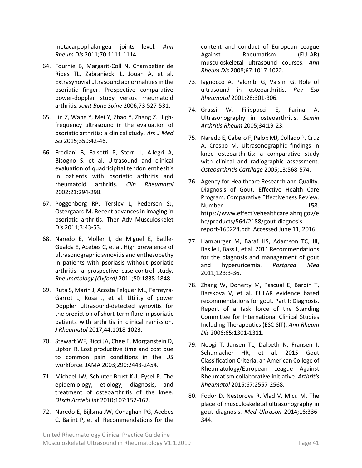metacarpophalangeal joints level. *Ann Rheum Dis* 2011;70:1111-1114.

- 64. Fournie B, Margarit-Coll N, Champetier de Ribes TL, Zabraniecki L, Jouan A, et al. Extrasynovial ultrasound abnormalities in the psoriatic finger. Prospective comparative power-doppler study versus rheumatoid arthritis. *Joint Bone Spine* 2006;73:527-531.
- 65. Lin Z, Wang Y, Mei Y, Zhao Y, Zhang Z. Highfrequency ultrasound in the evaluation of psoriatic arthritis: a clinical study. *Am J Med Sci* 2015;350:42-46.
- 66. Frediani B, Falsetti P, Storri L, Allegri A, Bisogno S, et al. Ultrasound and clinical evaluation of quadricipital tendon enthesitis in patients with psoriatic arthritis and rheumatoid arthritis. *Clin Rheumatol* 2002;21:294-298.
- 67. Poggenborg RP, Terslev L, Pedersen SJ, Ostergaard M. Recent advances in imaging in psoriatic arthritis. Ther Adv Musculoskelet Dis 2011;3:43-53.
- 68. Naredo E, Moller I, de Miguel E, Batlle-Gualda E, Acebes C, et al. High prevalence of ultrasonographic synovitis and enthesopathy in patients with psoriasis without psoriatic arthritis: a prospective case-control study. *Rheumatology (Oxford)* 2011;50:1838-1848.
- 69. Ruta S, Marin J, Acosta Felquer ML, Ferreyra-Garrot L, Rosa J, et al. Utility of power Doppler ultrasound-detected synovitis for the prediction of short-term flare in psoriatic patients with arthritis in clinical remission. *J Rheumatol* 2017;44:1018-1023.
- 70. Stewart WF, Ricci JA, Chee E, Morganstein D, Lipton R. Lost productive time and cost due to common pain conditions in the US workforce. JAMA 2003;290:2443-2454.
- 71. Michael JW, Schluter-Brust KU, Eysel P. The epidemiology, etiology, diagnosis, and treatment of osteoarthritis of the knee. *Dtsch Arztebl Int* 2010;107:152-162.
- 72. Naredo E, Bijlsma JW, Conaghan PG, Acebes C, Balint P, et al. Recommendations for the

content and conduct of European League Against Rheumatism (EULAR) musculoskeletal ultrasound courses. *Ann Rheum Dis* 2008;67:1017-1022.

- 73. Iagnocco A, Palombi G, Valsini G. Role of ultrasound in osteoarthritis. *Rev Esp Rheumatol* 2001;28:301-306.
- 74. Grassi W, Filippucci E, Farina A. Ultrasonography in osteoarthritis. *Semin Arthritis Rheum* 2005;34:19-23.
- 75. Naredo E, Cabero F, Palop MJ, Collado P, Cruz A, Crespo M. Ultrasonographic findings in knee osteoarthritis: a comparative study with clinical and radiographic assessment. *Osteoarthritis Cartilage* 2005;13:568-574.
- 76. Agency for Healthcare Research and Quality. Diagnosis of Gout. Effective Health Care Program. Comparative Effectiveness Review. Number 158. [https://www.effectivehealthcare.ahrq.gov/e](https://www.effectivehealthcare.ahrq.gov/ehc/products/564/2188/gout-diagnosis-report-160224.pdf) [hc/products/564/2188/gout-diagnosis](https://www.effectivehealthcare.ahrq.gov/ehc/products/564/2188/gout-diagnosis-report-160224.pdf)[report-160224.pdf.](https://www.effectivehealthcare.ahrq.gov/ehc/products/564/2188/gout-diagnosis-report-160224.pdf) Accessed June 11, 2016.
- 77. Hamburger M, Baraf HS, Adamson TC, III, Basile J, Bass L, et al. 2011 Recommendations for the diagnosis and management of gout and hyperuricemia. *Postgrad Med* 2011;123:3-36.
- 78. Zhang W, Doherty M, Pascual E, Bardin T, Barskova V, et al. EULAR evidence based recommendations for gout. Part I: Diagnosis. Report of a task force of the Standing Committee for International Clinical Studies Including Therapeutics (ESCISIT). *Ann Rheum Dis* 2006;65:1301-1311.
- 79. Neogi T, Jansen TL, Dalbeth N, Fransen J, Schumacher HR, et al. 2015 Gout Classification Criteria: an American College of Rheumatology/European League Against Rheumatism collaborative initiative. *Arthritis Rheumatol* 2015;67:2557-2568.
- 80. Fodor D, Nestorova R, Vlad V, Micu M. The place of musculoskeletal ultrasonography in gout diagnosis. *Med Ultrason* 2014;16:336- 344.

United Rheumatology Clinical Practice Guideline Musculoskeletal Ultrasound in Rheumatology V1.1.2019 **Page 41** Page 41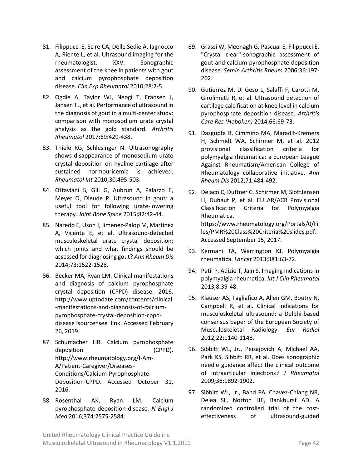- 81. Filippucci E, Scire CA, Delle Sedie A, Iagnocco A, Riente L, et al. Ultrasound imaging for the rheumatologist. XXV. Sonographic assessment of the knee in patients with gout and calcium pyrophosphate deposition disease. *Clin Exp Rheumatol* 2010;28:2-5.
- 82. Ogdie A, Taylor WJ, Neogi T, Fransen J, Jansen TL, et al. Performance of ultrasound in the diagnosis of gout in a multi-center study: comparison with monosodium urate crystal analysis as the gold standard. *Arthritis Rheumatol* 2017;69:429-438.
- 83. Thiele RG, Schlesinger N. Ultrasonography shows disappearance of monosodium urate crystal deposition on hyaline cartilage after sustained normouricemia is achieved. *Rheumatol Int* 2010;30:495-503.
- 84. Ottaviani S, Gill G, Aubrun A, Palazzo E, Meyer O, Dieude P. Ultrasound in gout: a useful tool for following urate-lowering therapy. *Joint Bone Spine* 2015;82:42-44.
- 85. Naredo E, Uson J, Jimenez-Palop M, Martinez A, Vicente E, et al. Ultrasound-detected musculoskeletal urate crystal deposition: which joints and what findings should be assessed for diagnosing gout? *Ann Rheum Dis* 2014;73:1522-1528.
- 86. Becker MA, Ryan LM. Clinical manifestations and diagnosis of calcium pyrophosphate crystal deposition (CPPD) disease. 2016. [http://www.uptodate.com/contents/clinical](http://www.uptodate.com/contents/clinical-manifestations-and-diagnosis-of-calcium-pyrophosphate-crystal-deposition-cppd-disease?source=see_link) [-manifestations-and-diagnosis-of-calcium](http://www.uptodate.com/contents/clinical-manifestations-and-diagnosis-of-calcium-pyrophosphate-crystal-deposition-cppd-disease?source=see_link)[pyrophosphate-crystal-deposition-cppd](http://www.uptodate.com/contents/clinical-manifestations-and-diagnosis-of-calcium-pyrophosphate-crystal-deposition-cppd-disease?source=see_link)[disease?source=see\\_link.](http://www.uptodate.com/contents/clinical-manifestations-and-diagnosis-of-calcium-pyrophosphate-crystal-deposition-cppd-disease?source=see_link) Accessed February 26, 2019.
- 87. Schumacher HR. Calcium pyrophosphate deposition (CPPD). [http://www.rheumatology.org/I-Am-](http://www.rheumatology.org/I-Am-A/Patient-Caregiver/Diseases-Conditions/Calcium-Pyrophosphate-Deposition-CPPD)[A/Patient-Caregiver/Diseases-](http://www.rheumatology.org/I-Am-A/Patient-Caregiver/Diseases-Conditions/Calcium-Pyrophosphate-Deposition-CPPD)[Conditions/Calcium-Pyrophosphate-](http://www.rheumatology.org/I-Am-A/Patient-Caregiver/Diseases-Conditions/Calcium-Pyrophosphate-Deposition-CPPD)[Deposition-CPPD.](http://www.rheumatology.org/I-Am-A/Patient-Caregiver/Diseases-Conditions/Calcium-Pyrophosphate-Deposition-CPPD) Accessed October 31, 2016.
- 88. Rosenthal AK, Ryan LM. Calcium pyrophosphate deposition disease. *N Engl J Med* 2016;374:2575-2584.
- 89. Grassi W, Meenagh G, Pascual E, Filippucci E. "Crystal clear"-sonographic assessment of gout and calcium pyrophosphate deposition disease. *Semin Arthritis Rheum* 2006;36:197- 202.
- 90. Gutierrez M, Di Geso L, Salaffi F, Carotti M, Girolimetti R, et al. Ultrasound detection of cartilage calcification at knee level in calcium pyrophosphate deposition disease. *Arthritis Care Res (Hoboken)* 2014;66:69-73.
- 91. Dasgupta B, Cimmino MA, Maradit-Kremers H, Schmidt WA, Schirmer M, et al. 2012 provisional classification criteria for polymyalgia rheumatica: a European League Against Rheumatism/American College of Rheumatology collaborative initiative. *Ann Rheum Dis* 2012;71:484-492.
- 92. Dejaco C, Duftner C, Schirmer M, SlottJensen H, Duhaut P, et al. EULAR/ACR Provisional Classification Criteria for Polymyalgia Rheumatica. [https://www.rheumatology.org/Portals/0/Fi](https://www.rheumatology.org/Portals/0/Files/PMR%20Class%20Criteria%20slides.pdf) [les/PMR%20Class%20Criteria%20slides.pdf.](https://www.rheumatology.org/Portals/0/Files/PMR%20Class%20Criteria%20slides.pdf) Accessed September 15, 2017.
- 93. Kermani TA, Warrington KJ. Polymyalgia rheumatica. *Lancet* 2013;381:63-72.
- 94. Patil P, Adizie T, Jain S. Imaging indications in polymyalgia rheumatica. *Int J Clin Rheumatol*  2013;8:39-48.
- 95. Klauser AS, Tagliafico A, Allen GM, Boutry N, Campbell R, et al. Clinical indications for musculoskeletal ultrasound: a Delphi-based consensus paper of the European Society of Musculoskeletal Radiology. *Eur Radiol*  2012;22:1140-1148.
- 96. Sibbitt WL, Jr., Peisajovich A, Michael AA, Park KS, Sibbitt RR, et al. Does sonographic needle guidance affect the clinical outcome of intraarticular injections? *J Rheumatol* 2009;36:1892-1902.
- 97. Sibbitt WL, Jr., Band PA, Chavez-Chiang NR, Delea SL, Norton HE, Bankhurst AD. A randomized controlled trial of the costeffectiveness of ultrasound-guided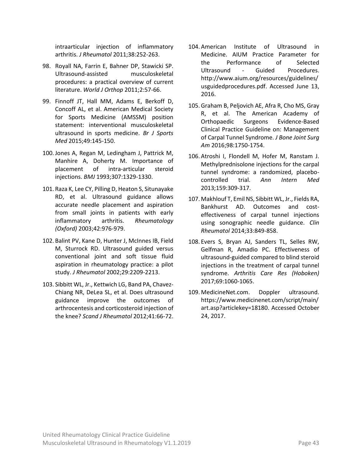intraarticular injection of inflammatory arthritis. *J Rheumatol* 2011;38:252-263.

- 98. Royall NA, Farrin E, Bahner DP, Stawicki SP. Ultrasound-assisted musculoskeletal procedures: a practical overview of current literature. *World J Orthop* 2011;2:57-66.
- 99. Finnoff JT, Hall MM, Adams E, Berkoff D, Concoff AL, et al. American Medical Society for Sports Medicine (AMSSM) position statement: interventional musculoskeletal ultrasound in sports medicine. *Br J Sports Med* 2015;49:145-150.
- 100.Jones A, Regan M, Ledingham J, Pattrick M, Manhire A, Doherty M. Importance of placement of intra-articular steroid injections. *BMJ* 1993;307:1329-1330.
- 101. Raza K, Lee CY, Pilling D, Heaton S, Situnayake RD, et al. Ultrasound guidance allows accurate needle placement and aspiration from small joints in patients with early inflammatory arthritis. *Rheumatology (Oxford)* 2003;42:976-979.
- 102. Balint PV, Kane D, Hunter J, McInnes IB, Field M, Sturrock RD. Ultrasound guided versus conventional joint and soft tissue fluid aspiration in rheumatology practice: a pilot study. *J Rheumatol* 2002;29:2209-2213.
- 103. Sibbitt WL, Jr., Kettwich LG, Band PA, Chavez-Chiang NR, DeLea SL, et al. Does ultrasound guidance improve the outcomes of arthrocentesis and corticosteroid injection of the knee? *Scand J Rheumatol* 2012;41:66-72.
- 104. American Institute of Ultrasound in Medicine. AIUM Practice Parameter for the Performance of Selected Ultrasound - Guided Procedures. [http://www.aium.org/resources/guidelines/](http://www.aium.org/resources/guidelines/usguidedprocedures.pdf) [usguidedprocedures.pdf.](http://www.aium.org/resources/guidelines/usguidedprocedures.pdf) Accessed June 13, 2016.
- 105.Graham B, Peljovich AE, Afra R, Cho MS, Gray R, et al. The American Academy of Orthopaedic Surgeons Evidence-Based Clinical Practice Guideline on: Management of Carpal Tunnel Syndrome. *J Bone Joint Surg Am* 2016;98:1750-1754.
- 106. Atroshi I, Flondell M, Hofer M, Ranstam J. Methylprednisolone injections for the carpal tunnel syndrome: a randomized, placebocontrolled trial. *Ann Intern Med* 2013;159:309-317.
- 107. Makhlouf T, Emil NS, Sibbitt WL, Jr., Fields RA, Bankhurst AD. Outcomes and costeffectiveness of carpal tunnel injections using sonographic needle guidance. *Clin Rheumatol* 2014;33:849-858.
- 108. Evers S, Bryan AJ, Sanders TL, Selles RW, Gelfman R, Amadio PC. Effectiveness of ultrasound-guided compared to blind steroid injections in the treatment of carpal tunnel syndrome. *Arthritis Care Res (Hoboken)* 2017;69:1060-1065.
- 109. MedicineNet.com. Doppler ultrasound. [https://www.medicinenet.com/script/main/](https://www.medicinenet.com/script/main/art.asp?articlekey=18180) [art.asp?articlekey=18180.](https://www.medicinenet.com/script/main/art.asp?articlekey=18180) Accessed October 24, 2017.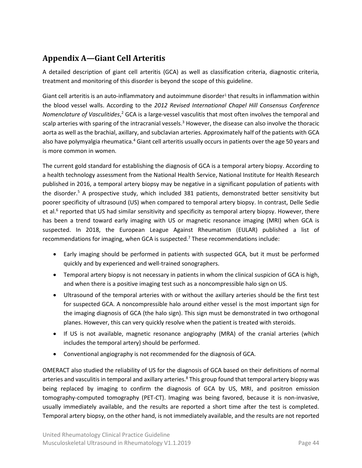## <span id="page-43-0"></span>**Appendix A—Giant Cell Arteritis**

A detailed description of giant cell arteritis (GCA) as well as classification criteria, diagnostic criteria, treatment and monitoring of this disorder is beyond the scope of this guideline.

Giant cell arteritis is an auto-inflammatory and autoimmune disorder<sup>1</sup> that results in inflammation within the blood vessel walls. According to the *2012 Revised International Chapel Hill Consensus Conference*  Nomenclature of Vasculitides,<sup>2</sup> GCA is a large-vessel vasculitis that most often involves the temporal and scalp arteries with sparing of the intracranial vessels.<sup>3</sup> However, the disease can also involve the thoracic aorta as well as the brachial, axillary, and subclavian arteries. Approximately half of the patients with GCA also have polymyalgia rheumatica.<sup>4</sup> Giant cell arteritis usually occurs in patients over the age 50 years and is more common in women.

The current gold standard for establishing the diagnosis of GCA is a temporal artery biopsy. According to a health technology assessment from the National Health Service, National Institute for Health Research published in 2016, a temporal artery biopsy may be negative in a significant population of patients with the disorder. <sup>5</sup> A prospective study, which included 381 patients, demonstrated better sensitivity but poorer specificity of ultrasound (US) when compared to temporal artery biopsy. In contrast, Delle Sedie et al.<sup>6</sup> reported that US had similar sensitivity and specificity as temporal artery biopsy. However, there has been a trend toward early imaging with US or magnetic resonance imaging (MRI) when GCA is suspected. In 2018, the European League Against Rheumatism (EULAR) published a list of recommendations for imaging, when GCA is suspected.<sup>7</sup> These recommendations include:

- Early imaging should be performed in patients with suspected GCA, but it must be performed quickly and by experienced and well-trained sonographers.
- Temporal artery biopsy is not necessary in patients in whom the clinical suspicion of GCA is high, and when there is a positive imaging test such as a noncompressible halo sign on US.
- Ultrasound of the temporal arteries with or without the axillary arteries should be the first test for suspected GCA. A noncompressible halo around either vessel is the most important sign for the imaging diagnosis of GCA (the halo sign). This sign must be demonstrated in two orthogonal planes. However, this can very quickly resolve when the patient is treated with steroids.
- If US is not available, magnetic resonance angiography (MRA) of the cranial arteries (which includes the temporal artery) should be performed.
- Conventional angiography is not recommended for the diagnosis of GCA.

OMERACT also studied the reliability of US for the diagnosis of GCA based on their definitions of normal arteries and vasculitis in temporal and axillary arteries.<sup>8</sup> This group found that temporal artery biopsy was being replaced by imaging to confirm the diagnosis of GCA by US, MRI, and positron emission tomography-computed tomography (PET-CT). Imaging was being favored, because it is non-invasive, usually immediately available, and the results are reported a short time after the test is completed. Temporal artery biopsy, on the other hand, is not immediately available, and the results are not reported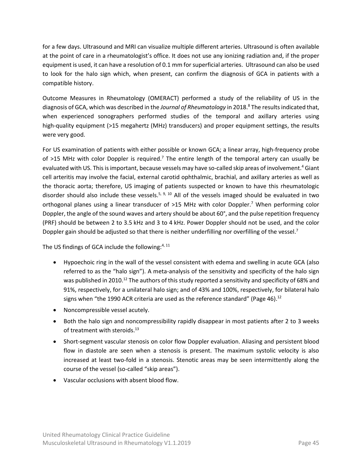for a few days. Ultrasound and MRI can visualize multiple different arteries. Ultrasound is often available at the point of care in a rheumatologist's office. It does not use any ionizing radiation and, if the proper equipment is used, it can have a resolution of 0.1 mm for superficial arteries. Ultrasound can also be used to look for the halo sign which, when present, can confirm the diagnosis of GCA in patients with a compatible history.

Outcome Measures in Rheumatology (OMERACT) performed a study of the reliability of US in the diagnosis of GCA, which was described in the *Journal of Rheumatology* in 2018. <sup>8</sup> The results indicated that, when experienced sonographers performed studies of the temporal and axillary arteries using high-quality equipment (>15 megahertz (MHz) transducers) and proper equipment settings, the results were very good.

For US examination of patients with either possible or known GCA; a linear array, high-frequency probe of >15 MHz with color Doppler is required.<sup>7</sup> The entire length of the temporal artery can usually be evaluated with US. This is important, because vessels may have so-called skip areas of involvement. <sup>4</sup> Giant cell arteritis may involve the facial, external carotid ophthalmic, brachial, and axillary arteries as well as the thoracic aorta; therefore, US imaging of patients suspected or known to have this rheumatologic disorder should also include these vessels.<sup>5, 9, 10</sup> All of the vessels imaged should be evaluated in two orthogonal planes using a linear transducer of >15 MHz with color Doppler.<sup>7</sup> When performing color Doppler, the angle of the sound waves and artery should be about 60°, and the pulse repetition frequency (PRF) should be between 2 to 3.5 kHz and 3 to 4 kHz. Power Doppler should not be used, and the color Doppler gain should be adjusted so that there is neither underfilling nor overfilling of the vessel.<sup>7</sup>

The US findings of GCA include the following: $4,11$ 

- Hypoechoic ring in the wall of the vessel consistent with edema and swelling in acute GCA (also referred to as the "halo sign"). A meta-analysis of the sensitivity and specificity of the halo sign was published in 2010.<sup>12</sup> The authors of this study reported a sensitivity and specificity of 68% and 91%, respectively, for a unilateral halo sign; and of 43% and 100%, respectively, for bilateral halo signs when "the 1990 ACR criteria are used as the reference standard" (Page 46). $^{12}$
- Noncompressible vessel acutely.
- Both the halo sign and noncompressibility rapidly disappear in most patients after 2 to 3 weeks of treatment with steroids.<sup>13</sup>
- Short-segment vascular stenosis on color flow Doppler evaluation. Aliasing and persistent blood flow in diastole are seen when a stenosis is present. The maximum systolic velocity is also increased at least two-fold in a stenosis. Stenotic areas may be seen intermittently along the course of the vessel (so-called "skip areas").
- Vascular occlusions with absent blood flow.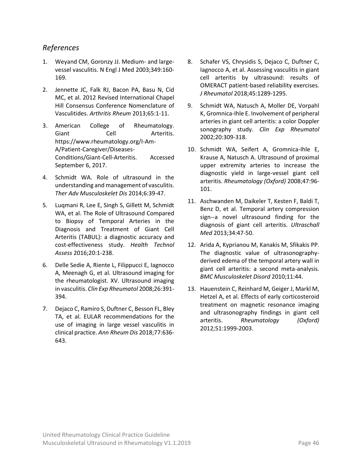#### <span id="page-45-0"></span>*References*

- 1. Weyand CM, Goronzy JJ. Medium- and largevessel vasculitis. N Engl J Med 2003;349:160- 169.
- 2. Jennette JC, Falk RJ, Bacon PA, Basu N, Cid MC, et al. 2012 Revised International Chapel Hill Consensus Conference Nomenclature of Vasculitides. *Arthritis Rheum* 2013;65:1-11.
- 3. American College of Rheumatology. Giant Cell Arteritis. [https://www.rheumatology.org/I-Am-](https://www.rheumatology.org/I-Am-A/Patient-Caregiver/Diseases-Conditions/Giant-Cell-Arteritis)[A/Patient-Caregiver/Diseases-](https://www.rheumatology.org/I-Am-A/Patient-Caregiver/Diseases-Conditions/Giant-Cell-Arteritis)[Conditions/Giant-Cell-Arteritis.](https://www.rheumatology.org/I-Am-A/Patient-Caregiver/Diseases-Conditions/Giant-Cell-Arteritis) Accessed September 6, 2017.
- 4. Schmidt WA. Role of ultrasound in the understanding and management of vasculitis. *Ther Adv Musculoskelet Dis* 2014;6:39-47.
- 5. Luqmani R, Lee E, Singh S, Gillett M, Schmidt WA, et al. The Role of Ultrasound Compared to Biopsy of Temporal Arteries in the Diagnosis and Treatment of Giant Cell Arteritis (TABUL): a diagnostic accuracy and cost-effectiveness study. *Health Technol Assess* 2016;20:1-238.
- 6. Delle Sedie A, Riente L, Filippucci E, Iagnocco A, Meenagh G, et al. Ultrasound imaging for the rheumatologist. XV. Ultrasound imaging in vasculitis. *Clin Exp Rheumatol* 2008;26:391- 394.
- 7. Dejaco C, Ramiro S, Duftner C, Besson FL, Bley TA, et al. EULAR recommendations for the use of imaging in large vessel vasculitis in clinical practice. *Ann Rheum Dis* 2018;77:636- 643.
- 8. Schafer VS, Chrysidis S, Dejaco C, Duftner C, Iagnocco A, et al. Assessing vasculitis in giant cell arteritis by ultrasound: results of OMERACT patient-based reliability exercises. *J Rheumatol* 2018;45:1289-1295.
- 9. Schmidt WA, Natusch A, Moller DE, Vorpahl K, Gromnica-Ihle E. Involvement of peripheral arteries in giant cell arteritis: a color Doppler sonography study. *Clin Exp Rheumatol* 2002;20:309-318.
- 10. Schmidt WA, Seifert A, Gromnica-Ihle E, Krause A, Natusch A. Ultrasound of proximal upper extremity arteries to increase the diagnostic yield in large-vessel giant cell arteritis. *Rheumatology (Oxford)* 2008;47:96- 101.
- 11. Aschwanden M, Daikeler T, Kesten F, Baldi T, Benz D, et al. Temporal artery compression sign--a novel ultrasound finding for the diagnosis of giant cell arteritis. *Ultraschall Med* 2013;34:47-50.
- 12. Arida A, Kyprianou M, Kanakis M, Sfikakis PP. The diagnostic value of ultrasonographyderived edema of the temporal artery wall in giant cell arteritis: a second meta-analysis. *BMC Musculoskelet Disord* 2010;11:44.
- 13. Hauenstein C, Reinhard M, Geiger J, Markl M, Hetzel A, et al. Effects of early corticosteroid treatment on magnetic resonance imaging and ultrasonography findings in giant cell arteritis. *Rheumatology (Oxford)* 2012;51:1999-2003.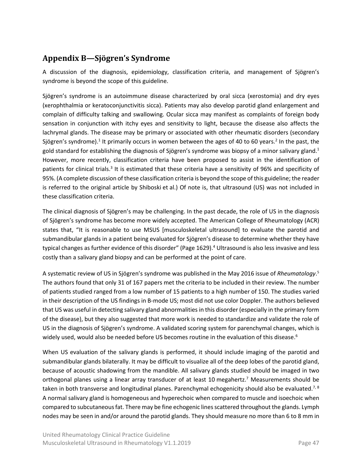## <span id="page-46-0"></span>**Appendix B—Sjögren's Syndrome**

A discussion of the diagnosis, epidemiology, classification criteria, and management of Sjögren's syndrome is beyond the scope of this guideline.

Sjögren's syndrome is an autoimmune disease characterized by oral sicca (xerostomia) and dry eyes (xerophthalmia or keratoconjunctivitis sicca). Patients may also develop parotid gland enlargement and complain of difficulty talking and swallowing. Ocular sicca may manifest as complaints of foreign body sensation in conjunction with itchy eyes and sensitivity to light, because the disease also affects the lachrymal glands. The disease may be primary or associated with other rheumatic disorders (secondary Sjögren's syndrome).<sup>1</sup> It primarily occurs in women between the ages of 40 to 60 years.<sup>2</sup> In the past, the gold standard for establishing the diagnosis of Sjögren's syndrome was biopsy of a minor salivary gland.<sup>1</sup> However, more recently, classification criteria have been proposed to assist in the identification of patients for clinical trials.<sup>3</sup> It is estimated that these criteria have a sensitivity of 96% and specificity of 95%. (A complete discussion of these classification criteria is beyond the scope of this guideline; the reader is referred to the original article by [Shiboski](https://www.ncbi.nlm.nih.gov/pmc/articles/PMC5650478/pdf/nihms813745.pdf) et al.) Of note is, that ultrasound (US) was not included in these classification criteria.

The clinical diagnosis of Sjögren's may be challenging. In the past decade, the role of US in the diagnosis of Sjögren's syndrome has become more widely accepted. The American College of Rheumatology (ACR) states that, "It is reasonable to use MSUS [musculoskeletal ultrasound] to evaluate the parotid and submandibular glands in a patient being evaluated for Sjögren's disease to determine whether they have typical changes as further evidence of this disorder" (Page 1629).<sup>4</sup> Ultrasound is also less invasive and less costly than a salivary gland biopsy and can be performed at the point of care.

A systematic review of US in Sjögren's syndrome was published in the May 2016 issue of *Rheumatology*. 5 The authors found that only 31 of 167 papers met the criteria to be included in their review. The number of patients studied ranged from a low number of 15 patients to a high number of 150. The studies varied in their description of the US findings in B-mode US; most did not use color Doppler. The authors believed that US was useful in detecting salivary gland abnormalities in this disorder (especially in the primary form of the disease), but they also suggested that more work is needed to standardize and validate the role of US in the diagnosis of Sjögren's syndrome. A validated scoring system for parenchymal changes, which is widely used, would also be needed before US becomes routine in the evaluation of this disease.<sup>6</sup>

When US evaluation of the salivary glands is performed, it should include imaging of the parotid and submandibular glands bilaterally. It may be difficult to visualize all of the deep lobes of the parotid gland, because of acoustic shadowing from the mandible. All salivary glands studied should be imaged in two orthogonal planes using a linear array transducer of at least 10 megahertz.<sup>7</sup> Measurements should be taken in both transverse and longitudinal planes. Parenchymal echogenicity should also be evaluated.<sup>7, 8</sup> A normal salivary gland is homogeneous and hyperechoic when compared to muscle and isoechoic when compared to subcutaneous fat. There may be fine echogenic lines scattered throughout the glands. Lymph nodes may be seen in and/or around the parotid glands. They should measure no more than 6 to 8 mm in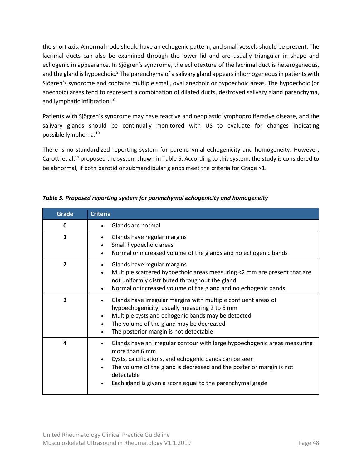the short axis. A normal node should have an echogenic pattern, and small vessels should be present. The lacrimal ducts can also be examined through the lower lid and are usually triangular in shape and echogenic in appearance. In Sjögren's syndrome, the echotexture of the lacrimal duct is heterogeneous, and the gland is hypoechoic.<sup>9</sup> The parenchyma of a salivary gland appears inhomogeneous in patients with Sjögren's syndrome and contains multiple small, oval anechoic or hypoechoic areas. The hypoechoic (or anechoic) areas tend to represent a combination of dilated ducts, destroyed salivary gland parenchyma, and lymphatic infiltration. 10

Patients with Sjögren's syndrome may have reactive and neoplastic lymphoproliferative disease, and the salivary glands should be continually monitored with US to evaluate for changes indicating possible lymphoma. 10

There is no standardized reporting system for parenchymal echogenicity and homogeneity. However, Carotti et al.<sup>11</sup> proposed the system shown i[n Table](#page-47-0) 5. According to this system, the study is considered to be abnormal, if both parotid or submandibular glands meet the criteria for Grade >1.

| <b>Grade</b>   | <b>Criteria</b>                                                                                                                                                                                                                                                                                                                                  |
|----------------|--------------------------------------------------------------------------------------------------------------------------------------------------------------------------------------------------------------------------------------------------------------------------------------------------------------------------------------------------|
| 0              | Glands are normal                                                                                                                                                                                                                                                                                                                                |
| 1              | Glands have regular margins<br>Small hypoechoic areas<br>Normal or increased volume of the glands and no echogenic bands<br>$\bullet$                                                                                                                                                                                                            |
| $\overline{2}$ | Glands have regular margins<br>Multiple scattered hypoechoic areas measuring <2 mm are present that are<br>not uniformly distributed throughout the gland<br>Normal or increased volume of the gland and no echogenic bands<br>$\bullet$                                                                                                         |
| 3              | Glands have irregular margins with multiple confluent areas of<br>hypoechogenicity, usually measuring 2 to 6 mm<br>Multiple cysts and echogenic bands may be detected<br>$\bullet$<br>The volume of the gland may be decreased<br>$\bullet$<br>The posterior margin is not detectable<br>$\bullet$                                               |
| 4              | Glands have an irregular contour with large hypoechogenic areas measuring<br>$\bullet$<br>more than 6 mm<br>Cysts, calcifications, and echogenic bands can be seen<br>The volume of the gland is decreased and the posterior margin is not<br>$\bullet$<br>detectable<br>Each gland is given a score equal to the parenchymal grade<br>$\bullet$ |

<span id="page-47-0"></span>*Table 5. Proposed reporting system for parenchymal echogenicity and homogeneity*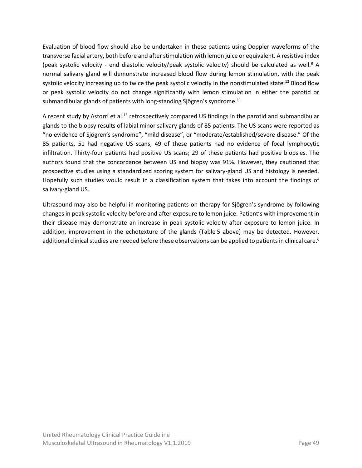Evaluation of blood flow should also be undertaken in these patients using Doppler waveforms of the transverse facial artery, both before and after stimulation with lemon juice or equivalent. A resistive index (peak systolic velocity - end diastolic velocity/peak systolic velocity) should be calculated as well.<sup>8</sup> A normal salivary gland will demonstrate increased blood flow during lemon stimulation, with the peak systolic velocity increasing up to twice the peak systolic velocity in the nonstimulated state.<sup>[12](#page-49-1)</sup> Blood flow or peak systolic velocity do not change significantly with lemon stimulation in either the parotid or submandibular glands of patients with long-standing Sjögren's syndrome. $11$ 

A recent study by Astorri et al.<sup>[13](#page-49-3)</sup> retrospectively compared US findings in the parotid and submandibular glands to the biopsy results of labial minor salivary glands of 85 patients. The US scans were reported as "no evidence of Sjögren's syndrome", "mild disease", or "moderate/established/severe disease." Of the 85 patients, 51 had negative US scans; 49 of these patients had no evidence of focal lymphocytic infiltration. Thirty-four patients had positive US scans; 29 of these patients had positive biopsies. The authors found that the concordance between US and biopsy was 91%. However, they cautioned that prospective studies using a standardized scoring system for salivary-gland US and histology is needed. Hopefully such studies would result in a classification system that takes into account the findings of salivary-gland US.

Ultrasound may also be helpful in monitoring patients on therapy for Sjögren's syndrome by following changes in peak systolic velocity before and after exposure to lemon juice. Patient's with improvement in their disease may demonstrate an increase in peak systolic velocity after exposure to lemon juice. In addition, improvement in the echotexture of the glands [\(Table](#page-47-0) 5 above) may be detected. However, additional clinical studies are needed before these observations can be applied to patients in clinical care[.](#page-49-4)<sup>6</sup>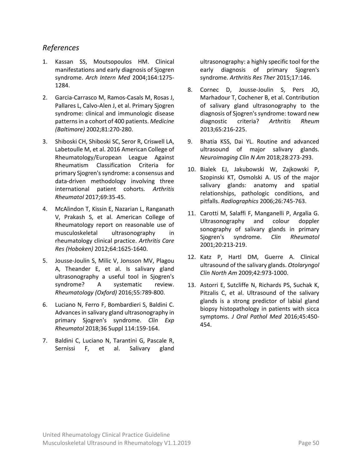#### <span id="page-49-0"></span>*References*

- 1. Kassan SS, Moutsopoulos HM. Clinical manifestations and early diagnosis of Sjogren syndrome. *Arch Intern Med* 2004;164:1275- 1284.
- 2. Garcia-Carrasco M, Ramos-Casals M, Rosas J, Pallares L, Calvo-Alen J, et al. Primary Sjogren syndrome: clinical and immunologic disease patterns in a cohort of 400 patients. *Medicine (Baltimore)* 2002;81:270-280.
- 3. Shiboski CH, Shiboski SC, Seror R, Criswell LA, Labetoulle M, et al. 2016 American College of Rheumatology/European League Against Rheumatism Classification Criteria for primary Sjogren's syndrome: a consensus and data-driven methodology involving three international patient cohorts. *Arthritis Rheumatol* 2017;69:35-45.
- 4. McAlindon T, Kissin E, Nazarian L, Ranganath V, Prakash S, et al. American College of Rheumatology report on reasonable use of musculoskeletal ultrasonography in rheumatology clinical practice. *Arthritis Care Res (Hoboken)* 2012;64:1625-1640.
- 5. Jousse-Joulin S, Milic V, Jonsson MV, Plagou A, Theander E, et al. Is salivary gland ultrasonography a useful tool in Sjogren's syndrome? A systematic review. *Rheumatology (Oxford)* 2016;55:789-800.
- <span id="page-49-4"></span>6. Luciano N, Ferro F, Bombardieri S, Baldini C. Advances in salivary gland ultrasonography in primary Sjogren's syndrome. *Clin Exp Rheumatol* 2018;36 Suppl 114:159-164.
- 7. Baldini C, Luciano N, Tarantini G, Pascale R, Sernissi F, et al. Salivary gland

ultrasonography: a highly specific tool for the early diagnosis of primary Sjogren's syndrome. *Arthritis Res Ther* 2015;17:146.

- 8. Cornec D, Jousse-Joulin S, Pers JO, Marhadour T, Cochener B, et al. Contribution of salivary gland ultrasonography to the diagnosis of Sjogren's syndrome: toward new diagnostic criteria? *Arthritis Rheum* 2013;65:216-225.
- 9. Bhatia KSS, Dai YL. Routine and advanced ultrasound of major salivary glands. *Neuroimaging Clin N Am* 2018;28:273-293.
- 10. Bialek EJ, Jakubowski W, Zajkowski P, Szopinski KT, Osmolski A. US of the major salivary glands: anatomy and spatial relationships, pathologic conditions, and pitfalls. *Radiographics* 2006;26:745-763.
- <span id="page-49-2"></span>11. Carotti M, Salaffi F, Manganelli P, Argalia G. Ultrasonography and colour doppler sonography of salivary glands in primary Sjogren's syndrome. *Clin Rheumatol* 2001;20:213-219.
- <span id="page-49-1"></span>12. Katz P, Hartl DM, Guerre A. Clinical ultrasound of the salivary glands. *Otolaryngol Clin North Am* 2009;42:973-1000.
- <span id="page-49-3"></span>13. Astorri E, Sutcliffe N, Richards PS, Suchak K, Pitzalis C, et al. Ultrasound of the salivary glands is a strong predictor of labial gland biopsy histopathology in patients with sicca symptoms. *J Oral Pathol Med* 2016;45:450- 454.